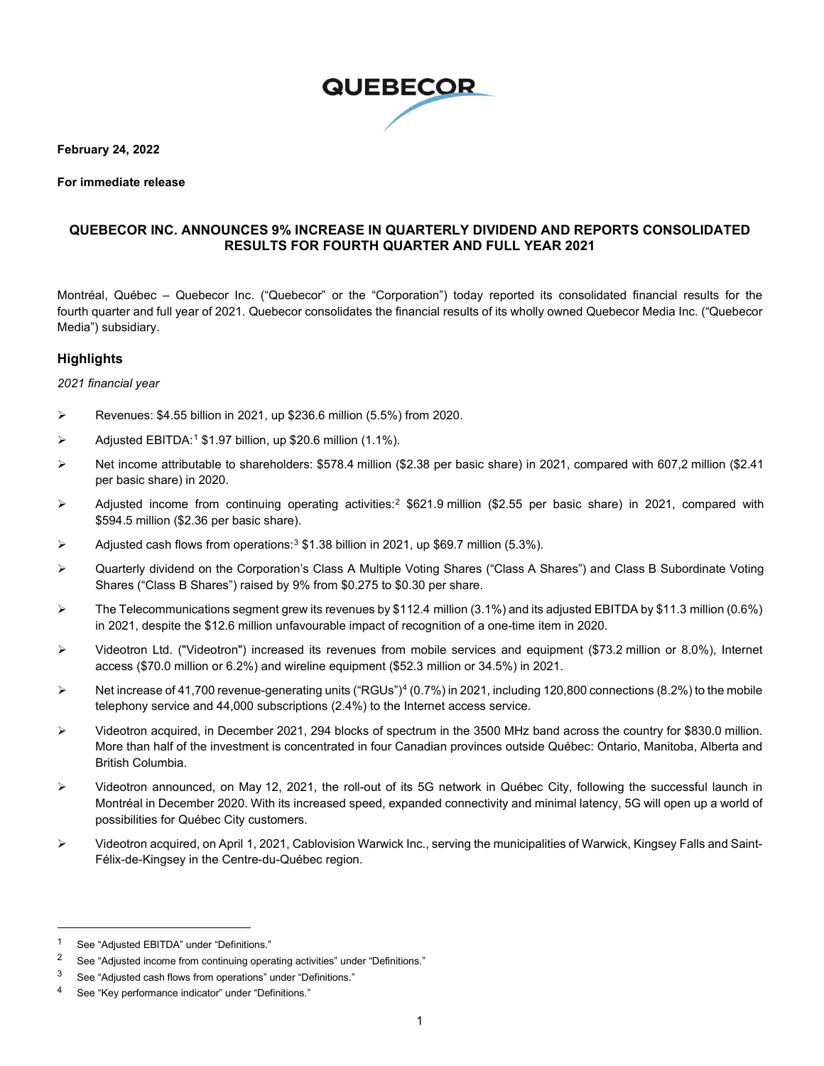

**February 24, 2022**

#### **For immediate release**

## **QUEBECOR INC. ANNOUNCES 9% INCREASE IN QUARTERLY DIVIDEND AND REPORTS CONSOLIDATED RESULTS FOR FOURTH QUARTER AND FULL YEAR 2021**

Montréal, Québec – Quebecor Inc. ("Quebecor" or the "Corporation") today reported its consolidated financial results for the fourth quarter and full year of 2021. Quebecor consolidates the financial results of its wholly owned Quebecor Media Inc. ("Quebecor Media") subsidiary.

#### **Highlights**

*2021 financial year*

- $\triangleright$  Revenues: \$4.55 billion in 2021, up \$236.6 million (5.5%) from 2020.
- $\triangleright$  Adjusted EBITDA:<sup>[1](#page-0-0)</sup> \$1.97 billion, up \$20.6 million (1.1%).
- ▶ Net income attributable to shareholders: \$578.4 million (\$2.38 per basic share) in 2021, compared with 607,2 million (\$2.41 per basic share) in 2020.
- $\triangleright$  Adjusted income from continuing operating activities:<sup>[2](#page-0-1)</sup> \$621.9 million (\$2.55 per basic share) in 2021, compared with \$594.5 million (\$2.36 per basic share).
- Adjusted cash flows from operations:<sup>[3](#page-0-2)</sup> \$1.38 billion in 2021, up \$69.7 million (5.3%).
- Quarterly dividend on the Corporation's Class A Multiple Voting Shares ("Class A Shares") and Class B Subordinate Voting Shares ("Class B Shares") raised by 9% from \$0.275 to \$0.30 per share.
- $\triangleright$  The Telecommunications segment grew its revenues by \$112.4 million (3.1%) and its adjusted EBITDA by \$11.3 million (0.6%) in 2021, despite the \$12.6 million unfavourable impact of recognition of a one-time item in 2020.
- $\triangleright$  Videotron Ltd. ("Videotron") increased its revenues from mobile services and equipment (\$73.2 million or 8.0%), Internet access (\$70.0 million or 6.2%) and wireline equipment (\$52.3 million or 34.5%) in 2021.
- $\triangleright$  Net increase of [4](#page-0-3)1,700 revenue-generating units ("RGUs")<sup>4</sup> (0.7%) in 2021, including 120,800 connections (8.2%) to the mobile telephony service and 44,000 subscriptions (2.4%) to the Internet access service.
- $\triangleright$  Videotron acquired, in December 2021, 294 blocks of spectrum in the 3500 MHz band across the country for \$830.0 million. More than half of the investment is concentrated in four Canadian provinces outside Québec: Ontario, Manitoba, Alberta and British Columbia.
- Videotron announced, on May 12, 2021, the roll-out of its 5G network in Québec City, following the successful launch in Montréal in December 2020. With its increased speed, expanded connectivity and minimal latency, 5G will open up a world of possibilities for Québec City customers.
- Videotron acquired, on April 1, 2021, Cablovision Warwick Inc., serving the municipalities of Warwick, Kingsey Falls and Saint-Félix-de-Kingsey in the Centre-du-Québec region.

<span id="page-0-0"></span><sup>1</sup> See "Adjusted EBITDA" under "Definitions."

<span id="page-0-1"></span><sup>&</sup>lt;sup>2</sup> See "Adjusted income from continuing operating activities" under "Definitions."

<span id="page-0-2"></span><sup>3</sup> See "Adjusted cash flows from operations" under "Definitions."

<span id="page-0-3"></span><sup>4</sup> See "Key performance indicator" under "Definitions."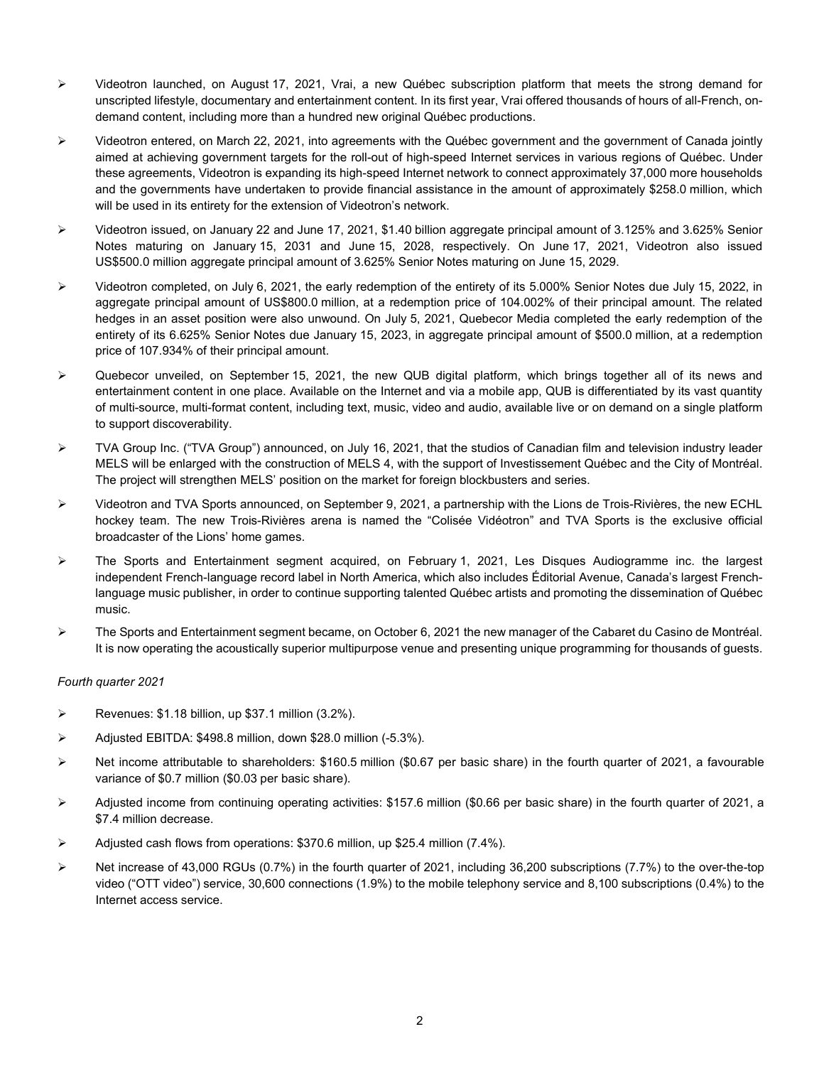- $\triangleright$  Videotron launched, on August 17, 2021, Vrai, a new Québec subscription platform that meets the strong demand for unscripted lifestyle, documentary and entertainment content. In its first year, Vrai offered thousands of hours of all-French, ondemand content, including more than a hundred new original Québec productions.
- Videotron entered, on March 22, 2021, into agreements with the Québec government and the government of Canada jointly aimed at achieving government targets for the roll-out of high-speed Internet services in various regions of Québec. Under these agreements, Videotron is expanding its high-speed Internet network to connect approximately 37,000 more households and the governments have undertaken to provide financial assistance in the amount of approximately \$258.0 million, which will be used in its entirety for the extension of Videotron's network.
- Videotron issued, on January 22 and June 17, 2021, \$1.40 billion aggregate principal amount of 3.125% and 3.625% Senior Notes maturing on January 15, 2031 and June 15, 2028, respectively. On June 17, 2021, Videotron also issued US\$500.0 million aggregate principal amount of 3.625% Senior Notes maturing on June 15, 2029.
- $\triangleright$  Videotron completed, on July 6, 2021, the early redemption of the entirety of its 5.000% Senior Notes due July 15, 2022, in aggregate principal amount of US\$800.0 million, at a redemption price of 104.002% of their principal amount. The related hedges in an asset position were also unwound. On July 5, 2021, Quebecor Media completed the early redemption of the entirety of its 6.625% Senior Notes due January 15, 2023, in aggregate principal amount of \$500.0 million, at a redemption price of 107.934% of their principal amount.
- $\triangleright$  Quebecor unveiled, on September 15, 2021, the new QUB digital platform, which brings together all of its news and entertainment content in one place. Available on the Internet and via a mobile app, QUB is differentiated by its vast quantity of multi-source, multi-format content, including text, music, video and audio, available live or on demand on a single platform to support discoverability.
- $\triangleright$  TVA Group Inc. ("TVA Group") announced, on July 16, 2021, that the studios of Canadian film and television industry leader MELS will be enlarged with the construction of MELS 4, with the support of Investissement Québec and the City of Montréal. The project will strengthen MELS' position on the market for foreign blockbusters and series.
- Videotron and TVA Sports announced, on September 9, 2021, a partnership with the Lions de Trois-Rivières, the new ECHL hockey team. The new Trois-Rivières arena is named the "Colisée Vidéotron" and TVA Sports is the exclusive official broadcaster of the Lions' home games.
- The Sports and Entertainment segment acquired, on February 1, 2021, Les Disques Audiogramme inc. the largest independent French-language record label in North America, which also includes Éditorial Avenue, Canada's largest Frenchlanguage music publisher, in order to continue supporting talented Québec artists and promoting the dissemination of Québec music.
- The Sports and Entertainment segment became, on October 6, 2021 the new manager of the Cabaret du Casino de Montréal. It is now operating the acoustically superior multipurpose venue and presenting unique programming for thousands of guests.

#### *Fourth quarter 2021*

- $\triangleright$  Revenues: \$1.18 billion, up \$37.1 million (3.2%).
- Adjusted EBITDA: \$498.8 million, down \$28.0 million (-5.3%).
- $\triangleright$  Net income attributable to shareholders: \$160.5 million (\$0.67 per basic share) in the fourth quarter of 2021, a favourable variance of \$0.7 million (\$0.03 per basic share).
- $\triangleright$  Adjusted income from continuing operating activities: \$157.6 million (\$0.66 per basic share) in the fourth quarter of 2021, a \$7.4 million decrease.
- Adjusted cash flows from operations: \$370.6 million, up \$25.4 million (7.4%).
- $\triangleright$  Net increase of 43,000 RGUs (0.7%) in the fourth quarter of 2021, including 36,200 subscriptions (7.7%) to the over-the-top video ("OTT video") service, 30,600 connections (1.9%) to the mobile telephony service and 8,100 subscriptions (0.4%) to the Internet access service.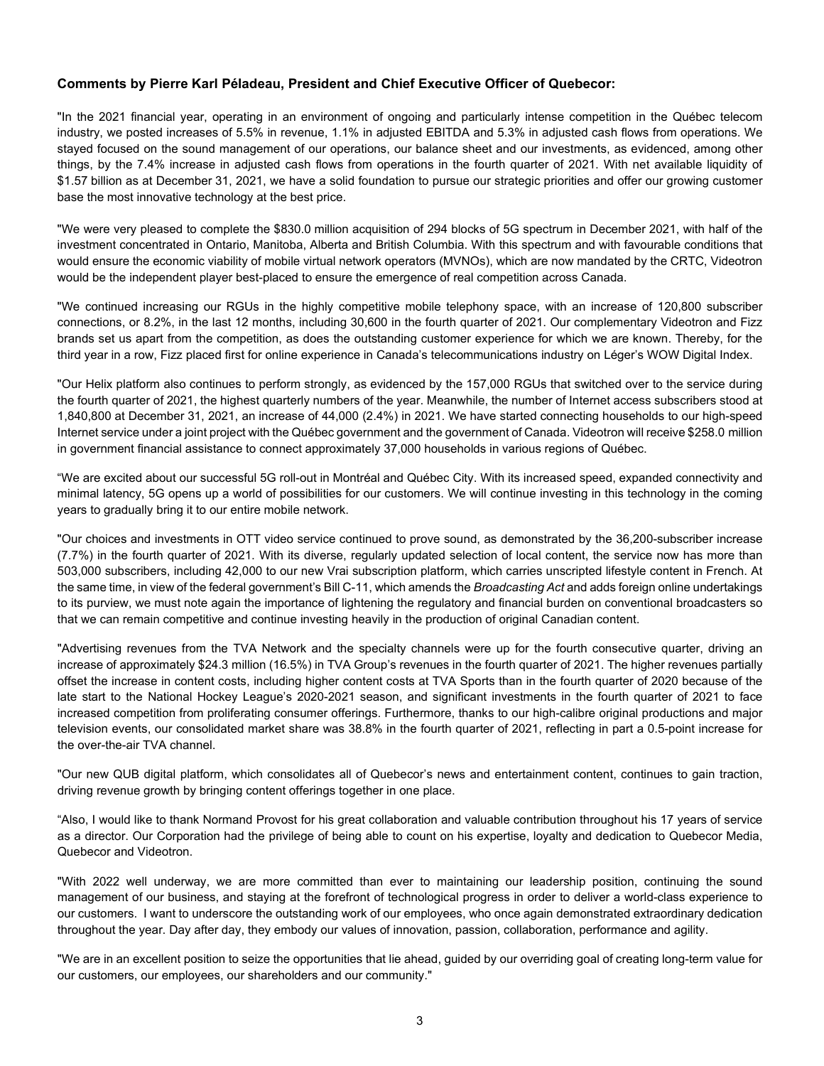#### **Comments by Pierre Karl Péladeau, President and Chief Executive Officer of Quebecor:**

"In the 2021 financial year, operating in an environment of ongoing and particularly intense competition in the Québec telecom industry, we posted increases of 5.5% in revenue, 1.1% in adjusted EBITDA and 5.3% in adjusted cash flows from operations. We stayed focused on the sound management of our operations, our balance sheet and our investments, as evidenced, among other things, by the 7.4% increase in adjusted cash flows from operations in the fourth quarter of 2021. With net available liquidity of \$1.57 billion as at December 31, 2021, we have a solid foundation to pursue our strategic priorities and offer our growing customer base the most innovative technology at the best price.

"We were very pleased to complete the \$830.0 million acquisition of 294 blocks of 5G spectrum in December 2021, with half of the investment concentrated in Ontario, Manitoba, Alberta and British Columbia. With this spectrum and with favourable conditions that would ensure the economic viability of mobile virtual network operators (MVNOs), which are now mandated by the CRTC, Videotron would be the independent player best-placed to ensure the emergence of real competition across Canada.

"We continued increasing our RGUs in the highly competitive mobile telephony space, with an increase of 120,800 subscriber connections, or 8.2%, in the last 12 months, including 30,600 in the fourth quarter of 2021. Our complementary Videotron and Fizz brands set us apart from the competition, as does the outstanding customer experience for which we are known. Thereby, for the third year in a row, Fizz placed first for online experience in Canada's telecommunications industry on Léger's WOW Digital Index.

"Our Helix platform also continues to perform strongly, as evidenced by the 157,000 RGUs that switched over to the service during the fourth quarter of 2021, the highest quarterly numbers of the year. Meanwhile, the number of Internet access subscribers stood at 1,840,800 at December 31, 2021, an increase of 44,000 (2.4%) in 2021. We have started connecting households to our high-speed Internet service under a joint project with the Québec government and the government of Canada. Videotron will receive \$258.0 million in government financial assistance to connect approximately 37,000 households in various regions of Québec.

"We are excited about our successful 5G roll-out in Montréal and Québec City. With its increased speed, expanded connectivity and minimal latency, 5G opens up a world of possibilities for our customers. We will continue investing in this technology in the coming years to gradually bring it to our entire mobile network.

"Our choices and investments in OTT video service continued to prove sound, as demonstrated by the 36,200-subscriber increase (7.7%) in the fourth quarter of 2021. With its diverse, regularly updated selection of local content, the service now has more than 503,000 subscribers, including 42,000 to our new Vrai subscription platform, which carries unscripted lifestyle content in French. At the same time, in view of the federal government's Bill C-11, which amends the *Broadcasting Act* and adds foreign online undertakings to its purview, we must note again the importance of lightening the regulatory and financial burden on conventional broadcasters so that we can remain competitive and continue investing heavily in the production of original Canadian content.

"Advertising revenues from the TVA Network and the specialty channels were up for the fourth consecutive quarter, driving an increase of approximately \$24.3 million (16.5%) in TVA Group's revenues in the fourth quarter of 2021. The higher revenues partially offset the increase in content costs, including higher content costs at TVA Sports than in the fourth quarter of 2020 because of the late start to the National Hockey League's 2020-2021 season, and significant investments in the fourth quarter of 2021 to face increased competition from proliferating consumer offerings. Furthermore, thanks to our high-calibre original productions and major television events, our consolidated market share was 38.8% in the fourth quarter of 2021, reflecting in part a 0.5-point increase for the over-the-air TVA channel.

"Our new QUB digital platform, which consolidates all of Quebecor's news and entertainment content, continues to gain traction, driving revenue growth by bringing content offerings together in one place.

"Also, I would like to thank Normand Provost for his great collaboration and valuable contribution throughout his 17 years of service as a director. Our Corporation had the privilege of being able to count on his expertise, loyalty and dedication to Quebecor Media, Quebecor and Videotron.

"With 2022 well underway, we are more committed than ever to maintaining our leadership position, continuing the sound management of our business, and staying at the forefront of technological progress in order to deliver a world-class experience to our customers. I want to underscore the outstanding work of our employees, who once again demonstrated extraordinary dedication throughout the year. Day after day, they embody our values of innovation, passion, collaboration, performance and agility.

"We are in an excellent position to seize the opportunities that lie ahead, guided by our overriding goal of creating long-term value for our customers, our employees, our shareholders and our community."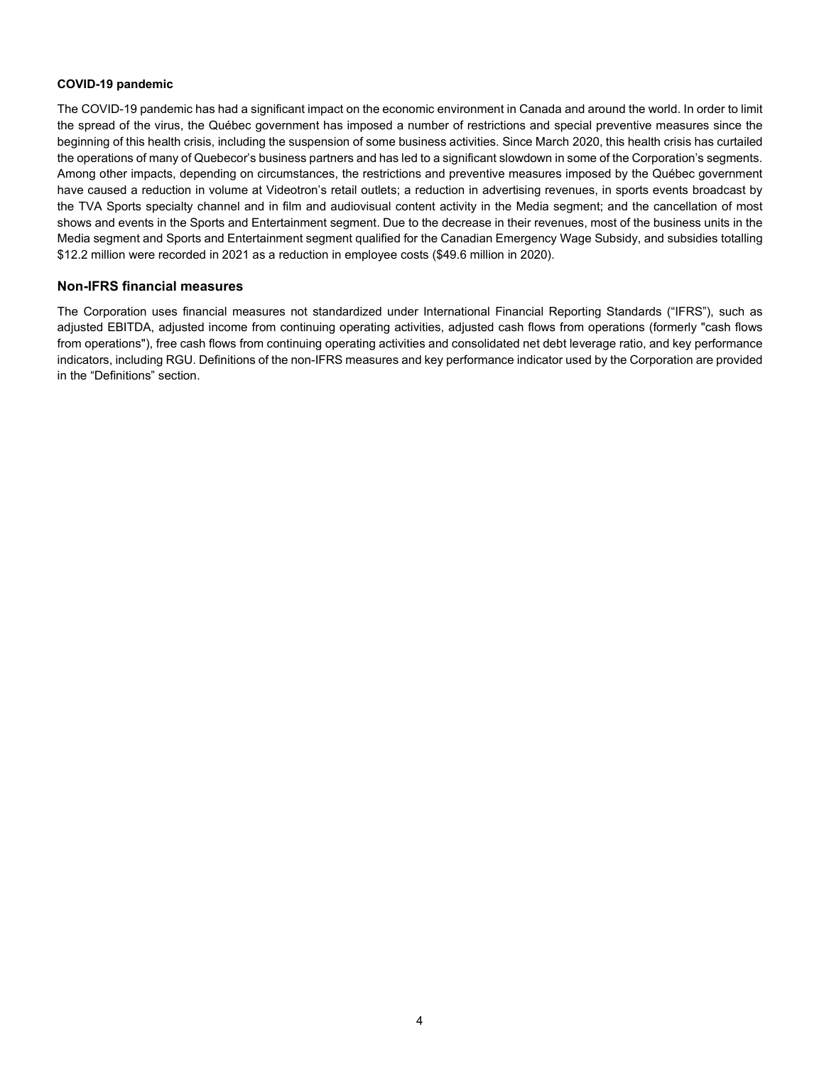#### **COVID-19 pandemic**

The COVID-19 pandemic has had a significant impact on the economic environment in Canada and around the world. In order to limit the spread of the virus, the Québec government has imposed a number of restrictions and special preventive measures since the beginning of this health crisis, including the suspension of some business activities. Since March 2020, this health crisis has curtailed the operations of many of Quebecor's business partners and has led to a significant slowdown in some of the Corporation's segments. Among other impacts, depending on circumstances, the restrictions and preventive measures imposed by the Québec government have caused a reduction in volume at Videotron's retail outlets; a reduction in advertising revenues, in sports events broadcast by the TVA Sports specialty channel and in film and audiovisual content activity in the Media segment; and the cancellation of most shows and events in the Sports and Entertainment segment. Due to the decrease in their revenues, most of the business units in the Media segment and Sports and Entertainment segment qualified for the Canadian Emergency Wage Subsidy, and subsidies totalling \$12.2 million were recorded in 2021 as a reduction in employee costs (\$49.6 million in 2020).

#### **Non-IFRS financial measures**

The Corporation uses financial measures not standardized under International Financial Reporting Standards ("IFRS"), such as adjusted EBITDA, adjusted income from continuing operating activities, adjusted cash flows from operations (formerly "cash flows from operations"), free cash flows from continuing operating activities and consolidated net debt leverage ratio, and key performance indicators, including RGU. Definitions of the non-IFRS measures and key performance indicator used by the Corporation are provided in the "Definitions" section.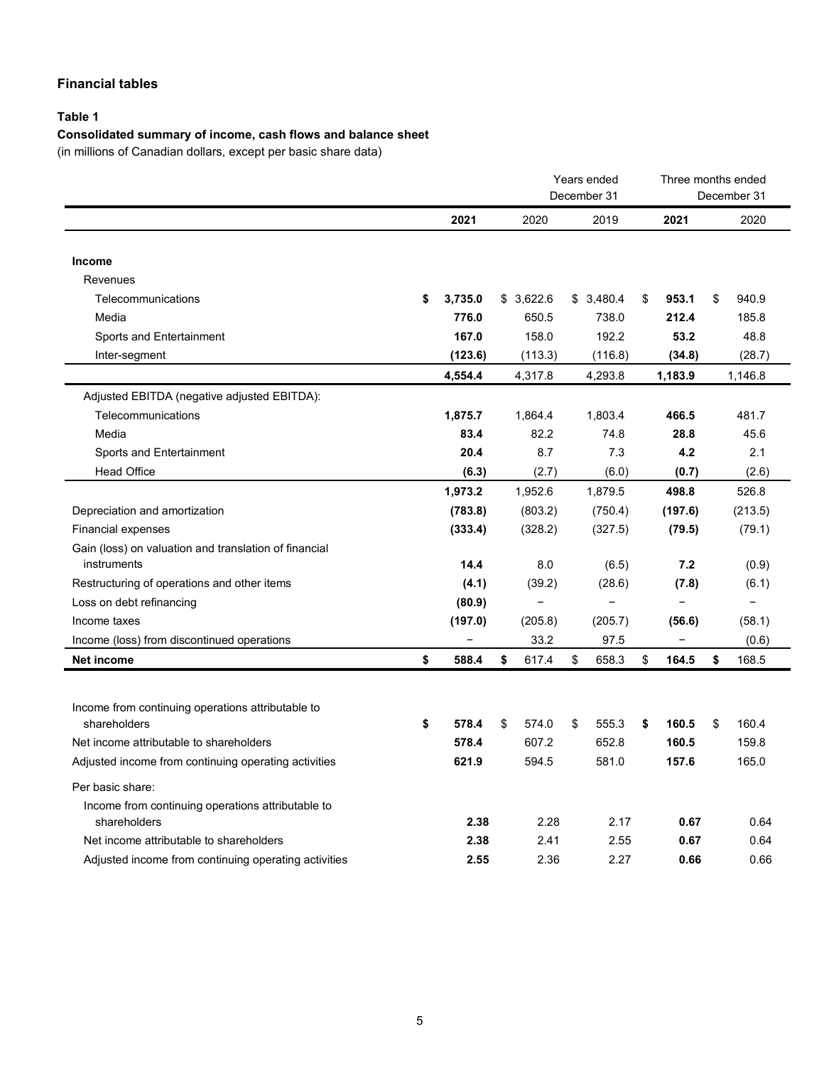# **Financial tables**

### **Table 1**

# **Consolidated summary of income, cash flows and balance sheet**

(in millions of Canadian dollars, except per basic share data)

|                                                                   |                                                                                                                                                                                                                                               |             | Years ended<br>December 31 |                              | Three months ended<br>December 31 |
|-------------------------------------------------------------------|-----------------------------------------------------------------------------------------------------------------------------------------------------------------------------------------------------------------------------------------------|-------------|----------------------------|------------------------------|-----------------------------------|
|                                                                   | 2021<br>3,735.0<br>\$<br>776.0<br>167.0<br>(123.6)<br>4,554.4<br>1,875.7<br>83.4<br>20.4<br>(6.3)<br>1,973.2<br>(783.8)<br>(333.4)<br>14.4<br>(4.1)<br>(80.9)<br>(197.0)<br>$\qquad \qquad -$<br>\$<br>588.4<br>\$<br>578.4<br>578.4<br>621.9 | 2020        | 2019                       | 2021                         | 2020                              |
| Income                                                            |                                                                                                                                                                                                                                               |             |                            |                              |                                   |
| Revenues                                                          |                                                                                                                                                                                                                                               |             |                            |                              |                                   |
| Telecommunications                                                |                                                                                                                                                                                                                                               | \$3,622.6   | \$3,480.4                  | \$<br>953.1                  | \$<br>940.9                       |
| Media                                                             |                                                                                                                                                                                                                                               | 650.5       | 738.0                      | 212.4                        | 185.8                             |
| Sports and Entertainment                                          |                                                                                                                                                                                                                                               | 158.0       | 192.2                      | 53.2                         | 48.8                              |
| Inter-segment                                                     |                                                                                                                                                                                                                                               | (113.3)     | (116.8)                    | (34.8)                       | (28.7)                            |
|                                                                   |                                                                                                                                                                                                                                               | 4,317.8     | 4,293.8                    | 1,183.9                      | 1,146.8                           |
| Adjusted EBITDA (negative adjusted EBITDA):                       |                                                                                                                                                                                                                                               |             |                            |                              |                                   |
| Telecommunications                                                |                                                                                                                                                                                                                                               | 1,864.4     | 1,803.4                    | 466.5                        | 481.7                             |
| Media                                                             |                                                                                                                                                                                                                                               | 82.2        | 74.8                       | 28.8                         | 45.6                              |
| Sports and Entertainment                                          |                                                                                                                                                                                                                                               | 8.7         | 7.3                        | 4.2                          | 2.1                               |
| <b>Head Office</b>                                                |                                                                                                                                                                                                                                               | (2.7)       | (6.0)                      | (0.7)                        | (2.6)                             |
|                                                                   |                                                                                                                                                                                                                                               | 1,952.6     | 1,879.5                    | 498.8                        | 526.8                             |
| Depreciation and amortization                                     |                                                                                                                                                                                                                                               | (803.2)     | (750.4)                    | (197.6)                      | (213.5)                           |
| <b>Financial expenses</b>                                         |                                                                                                                                                                                                                                               | (328.2)     | (327.5)                    | (79.5)                       | (79.1)                            |
| Gain (loss) on valuation and translation of financial             |                                                                                                                                                                                                                                               |             |                            |                              |                                   |
| instruments                                                       |                                                                                                                                                                                                                                               | 8.0         | (6.5)                      | 7.2                          | (0.9)                             |
| Restructuring of operations and other items                       |                                                                                                                                                                                                                                               | (39.2)      | (28.6)                     | (7.8)                        | (6.1)                             |
| Loss on debt refinancing                                          |                                                                                                                                                                                                                                               | -           | -                          |                              | $\overline{\phantom{0}}$          |
| Income taxes                                                      |                                                                                                                                                                                                                                               | (205.8)     | (205.7)                    | (56.6)                       | (58.1)                            |
| Income (loss) from discontinued operations                        |                                                                                                                                                                                                                                               | 33.2        | 97.5                       | $\qquad \qquad \blacksquare$ | (0.6)                             |
| <b>Net income</b>                                                 |                                                                                                                                                                                                                                               | \$<br>617.4 | \$<br>658.3                | \$<br>164.5                  | \$<br>168.5                       |
|                                                                   |                                                                                                                                                                                                                                               |             |                            |                              |                                   |
| Income from continuing operations attributable to                 |                                                                                                                                                                                                                                               |             |                            |                              |                                   |
| shareholders                                                      |                                                                                                                                                                                                                                               | \$<br>574.0 | \$<br>555.3                | \$<br>160.5                  | \$<br>160.4                       |
| Net income attributable to shareholders                           |                                                                                                                                                                                                                                               | 607.2       | 652.8                      | 160.5                        | 159.8                             |
| Adjusted income from continuing operating activities              |                                                                                                                                                                                                                                               | 594.5       | 581.0                      | 157.6                        | 165.0                             |
|                                                                   |                                                                                                                                                                                                                                               |             |                            |                              |                                   |
| Per basic share:                                                  |                                                                                                                                                                                                                                               |             |                            |                              |                                   |
| Income from continuing operations attributable to<br>shareholders | 2.38                                                                                                                                                                                                                                          | 2.28        | 2.17                       | 0.67                         | 0.64                              |
| Net income attributable to shareholders                           | 2.38                                                                                                                                                                                                                                          | 2.41        | 2.55                       | 0.67                         | 0.64                              |
| Adjusted income from continuing operating activities              | 2.55                                                                                                                                                                                                                                          | 2.36        | 2.27                       | 0.66                         | 0.66                              |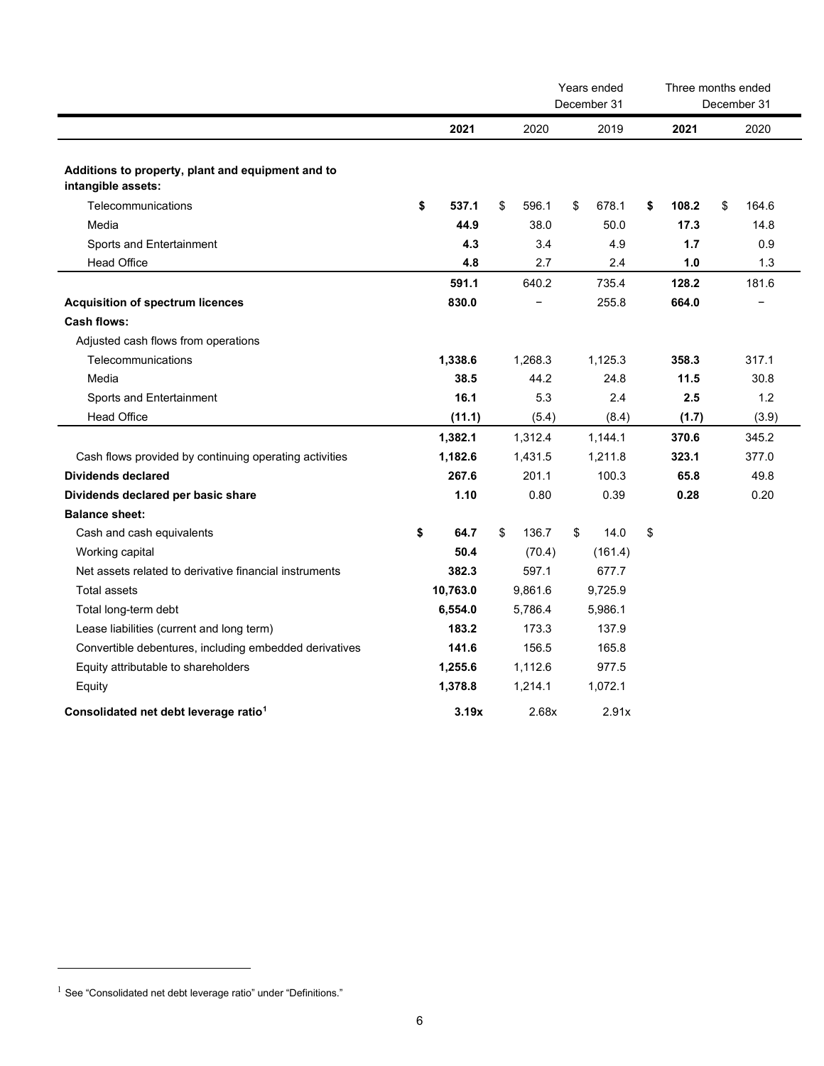|                                                                         |             | Years ended<br>December 31 |    |         |    | Three months ended<br>December 31 |    |       |
|-------------------------------------------------------------------------|-------------|----------------------------|----|---------|----|-----------------------------------|----|-------|
|                                                                         | 2021        | 2020                       |    | 2019    |    | 2021                              |    | 2020  |
| Additions to property, plant and equipment and to<br>intangible assets: |             |                            |    |         |    |                                   |    |       |
| Telecommunications                                                      | \$<br>537.1 | \$<br>596.1                | \$ | 678.1   | \$ | 108.2                             | \$ | 164.6 |
| Media                                                                   | 44.9        | 38.0                       |    | 50.0    |    | 17.3                              |    | 14.8  |
| Sports and Entertainment                                                | 4.3         | 3.4                        |    | 4.9     |    | 1.7                               |    | 0.9   |
| <b>Head Office</b>                                                      | 4.8         | 2.7                        |    | 2.4     |    | 1.0                               |    | 1.3   |
|                                                                         | 591.1       | 640.2                      |    | 735.4   |    | 128.2                             |    | 181.6 |
| <b>Acquisition of spectrum licences</b>                                 | 830.0       |                            |    | 255.8   |    | 664.0                             |    |       |
| Cash flows:                                                             |             |                            |    |         |    |                                   |    |       |
| Adjusted cash flows from operations                                     |             |                            |    |         |    |                                   |    |       |
| Telecommunications                                                      | 1,338.6     | 1,268.3                    |    | 1,125.3 |    | 358.3                             |    | 317.1 |
| Media                                                                   | 38.5        | 44.2                       |    | 24.8    |    | 11.5                              |    | 30.8  |
| Sports and Entertainment                                                | 16.1        | 5.3                        |    | 2.4     |    | 2.5                               |    | 1.2   |
| <b>Head Office</b>                                                      | (11.1)      | (5.4)                      |    | (8.4)   |    | (1.7)                             |    | (3.9) |
|                                                                         | 1,382.1     | 1,312.4                    |    | 1,144.1 |    | 370.6                             |    | 345.2 |
| Cash flows provided by continuing operating activities                  | 1,182.6     | 1,431.5                    |    | 1,211.8 |    | 323.1                             |    | 377.0 |
| Dividends declared                                                      | 267.6       | 201.1                      |    | 100.3   |    | 65.8                              |    | 49.8  |
| Dividends declared per basic share                                      | 1.10        | 0.80                       |    | 0.39    |    | 0.28                              |    | 0.20  |
| <b>Balance sheet:</b>                                                   |             |                            |    |         |    |                                   |    |       |
| Cash and cash equivalents                                               | \$<br>64.7  | \$<br>136.7                | \$ | 14.0    | \$ |                                   |    |       |
| Working capital                                                         | 50.4        | (70.4)                     |    | (161.4) |    |                                   |    |       |
| Net assets related to derivative financial instruments                  | 382.3       | 597.1                      |    | 677.7   |    |                                   |    |       |
| Total assets                                                            | 10,763.0    | 9,861.6                    |    | 9,725.9 |    |                                   |    |       |
| Total long-term debt                                                    | 6,554.0     | 5.786.4                    |    | 5,986.1 |    |                                   |    |       |
| Lease liabilities (current and long term)                               | 183.2       | 173.3                      |    | 137.9   |    |                                   |    |       |
| Convertible debentures, including embedded derivatives                  | 141.6       | 156.5                      |    | 165.8   |    |                                   |    |       |
| Equity attributable to shareholders                                     | 1,255.6     | 1,112.6                    |    | 977.5   |    |                                   |    |       |
| Equity                                                                  | 1,378.8     | 1,214.1                    |    | 1,072.1 |    |                                   |    |       |
| Consolidated net debt leverage ratio <sup>1</sup>                       | 3.19x       | 2.68x                      |    | 2.91x   |    |                                   |    |       |

<span id="page-5-0"></span> $1$  See "Consolidated net debt leverage ratio" under "Definitions."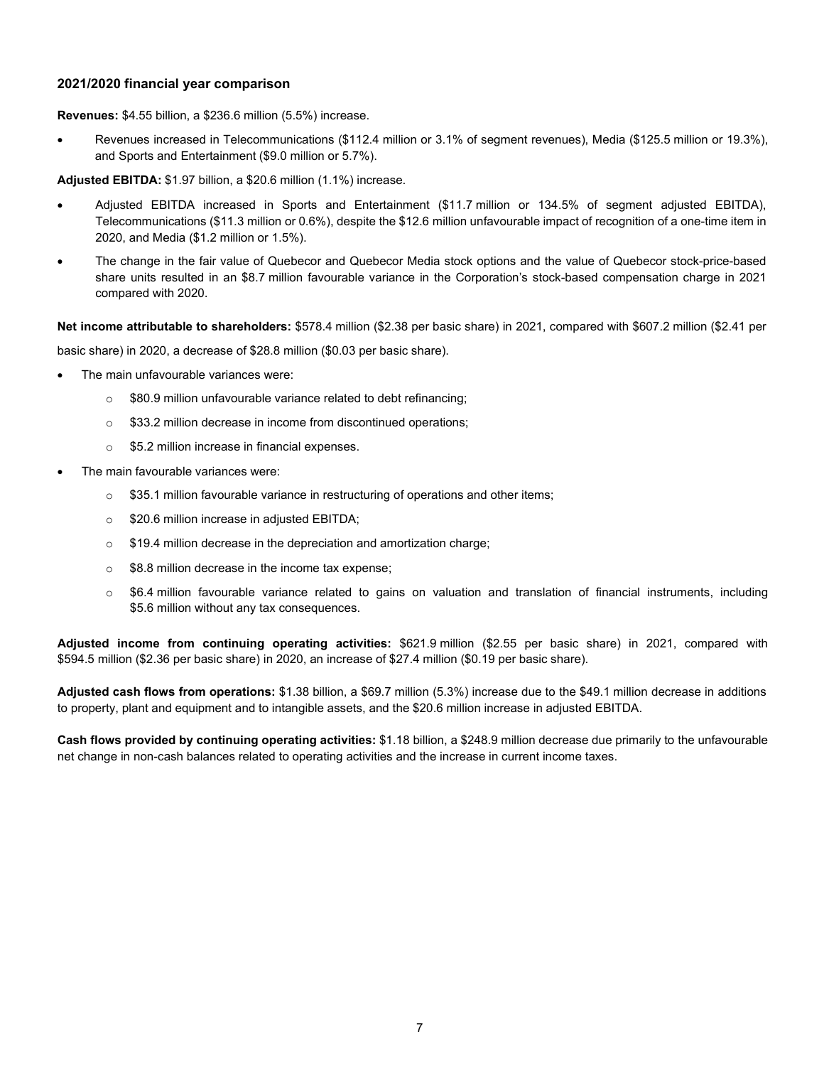#### **2021/2020 financial year comparison**

**Revenues:** \$4.55 billion, a \$236.6 million (5.5%) increase.

• Revenues increased in Telecommunications (\$112.4 million or 3.1% of segment revenues), Media (\$125.5 million or 19.3%), and Sports and Entertainment (\$9.0 million or 5.7%).

**Adjusted EBITDA:** \$1.97 billion, a \$20.6 million (1.1%) increase.

- Adjusted EBITDA increased in Sports and Entertainment (\$11.7 million or 134.5% of segment adjusted EBITDA), Telecommunications (\$11.3 million or 0.6%), despite the \$12.6 million unfavourable impact of recognition of a one-time item in 2020, and Media (\$1.2 million or 1.5%).
- The change in the fair value of Quebecor and Quebecor Media stock options and the value of Quebecor stock-price-based share units resulted in an \$8.7 million favourable variance in the Corporation's stock-based compensation charge in 2021 compared with 2020.

**Net income attributable to shareholders:** \$578.4 million (\$2.38 per basic share) in 2021, compared with \$607.2 million (\$2.41 per

basic share) in 2020, a decrease of \$28.8 million (\$0.03 per basic share).

- The main unfavourable variances were:
	- o \$80.9 million unfavourable variance related to debt refinancing;
	- o \$33.2 million decrease in income from discontinued operations;
	- o \$5.2 million increase in financial expenses.
- The main favourable variances were:
	- $\circ$  \$35.1 million favourable variance in restructuring of operations and other items;
	- o \$20.6 million increase in adjusted EBITDA;
	- o \$19.4 million decrease in the depreciation and amortization charge;
	- o \$8.8 million decrease in the income tax expense;
	- $\circ$  \$6.4 million favourable variance related to gains on valuation and translation of financial instruments, including \$5.6 million without any tax consequences.

**Adjusted income from continuing operating activities:** \$621.9 million (\$2.55 per basic share) in 2021, compared with \$594.5 million (\$2.36 per basic share) in 2020, an increase of \$27.4 million (\$0.19 per basic share).

**Adjusted cash flows from operations:** \$1.38 billion, a \$69.7 million (5.3%) increase due to the \$49.1 million decrease in additions to property, plant and equipment and to intangible assets, and the \$20.6 million increase in adjusted EBITDA.

**Cash flows provided by continuing operating activities:** \$1.18 billion, a \$248.9 million decrease due primarily to the unfavourable net change in non-cash balances related to operating activities and the increase in current income taxes.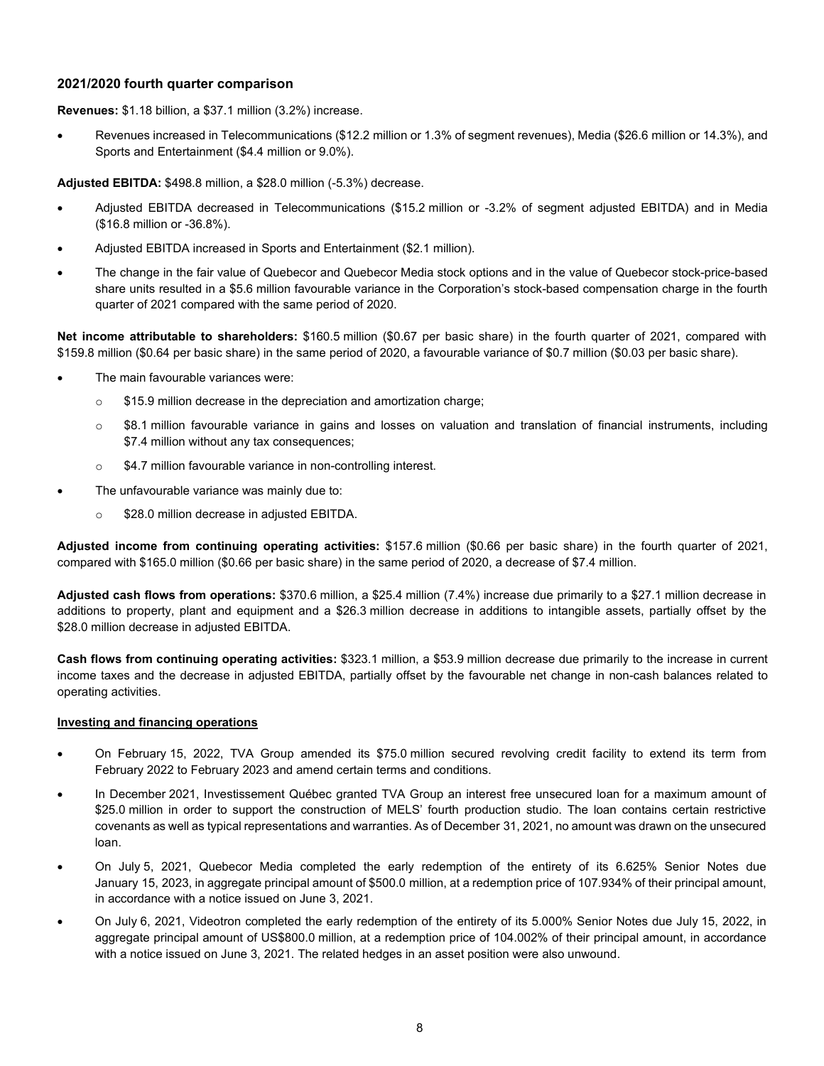#### **2021/2020 fourth quarter comparison**

**Revenues:** \$1.18 billion, a \$37.1 million (3.2%) increase.

• Revenues increased in Telecommunications (\$12.2 million or 1.3% of segment revenues), Media (\$26.6 million or 14.3%), and Sports and Entertainment (\$4.4 million or 9.0%).

**Adjusted EBITDA:** \$498.8 million, a \$28.0 million (-5.3%) decrease.

- Adjusted EBITDA decreased in Telecommunications (\$15.2 million or -3.2% of segment adjusted EBITDA) and in Media (\$16.8 million or -36.8%).
- Adjusted EBITDA increased in Sports and Entertainment (\$2.1 million).
- The change in the fair value of Quebecor and Quebecor Media stock options and in the value of Quebecor stock-price-based share units resulted in a \$5.6 million favourable variance in the Corporation's stock-based compensation charge in the fourth quarter of 2021 compared with the same period of 2020.

**Net income attributable to shareholders:** \$160.5 million (\$0.67 per basic share) in the fourth quarter of 2021, compared with \$159.8 million (\$0.64 per basic share) in the same period of 2020, a favourable variance of \$0.7 million (\$0.03 per basic share).

- The main favourable variances were:
	- o \$15.9 million decrease in the depreciation and amortization charge;
	- o \$8.1 million favourable variance in gains and losses on valuation and translation of financial instruments, including \$7.4 million without any tax consequences;
	- o \$4.7 million favourable variance in non-controlling interest.
- The unfavourable variance was mainly due to:
	- o \$28.0 million decrease in adjusted EBITDA.

**Adjusted income from continuing operating activities:** \$157.6 million (\$0.66 per basic share) in the fourth quarter of 2021, compared with \$165.0 million (\$0.66 per basic share) in the same period of 2020, a decrease of \$7.4 million.

**Adjusted cash flows from operations:** \$370.6 million, a \$25.4 million (7.4%) increase due primarily to a \$27.1 million decrease in additions to property, plant and equipment and a \$26.3 million decrease in additions to intangible assets, partially offset by the \$28.0 million decrease in adjusted EBITDA.

**Cash flows from continuing operating activities:** \$323.1 million, a \$53.9 million decrease due primarily to the increase in current income taxes and the decrease in adjusted EBITDA, partially offset by the favourable net change in non-cash balances related to operating activities.

#### **Investing and financing operations**

- On February 15, 2022, TVA Group amended its \$75.0 million secured revolving credit facility to extend its term from February 2022 to February 2023 and amend certain terms and conditions.
- In December 2021, Investissement Québec granted TVA Group an interest free unsecured loan for a maximum amount of \$25.0 million in order to support the construction of MELS' fourth production studio. The loan contains certain restrictive covenants as well as typical representations and warranties. As of December 31, 2021, no amount was drawn on the unsecured loan.
- On July 5, 2021, Quebecor Media completed the early redemption of the entirety of its 6.625% Senior Notes due January 15, 2023, in aggregate principal amount of \$500.0 million, at a redemption price of 107.934% of their principal amount, in accordance with a notice issued on June 3, 2021.
- On July 6, 2021, Videotron completed the early redemption of the entirety of its 5.000% Senior Notes due July 15, 2022, in aggregate principal amount of US\$800.0 million, at a redemption price of 104.002% of their principal amount, in accordance with a notice issued on June 3, 2021. The related hedges in an asset position were also unwound.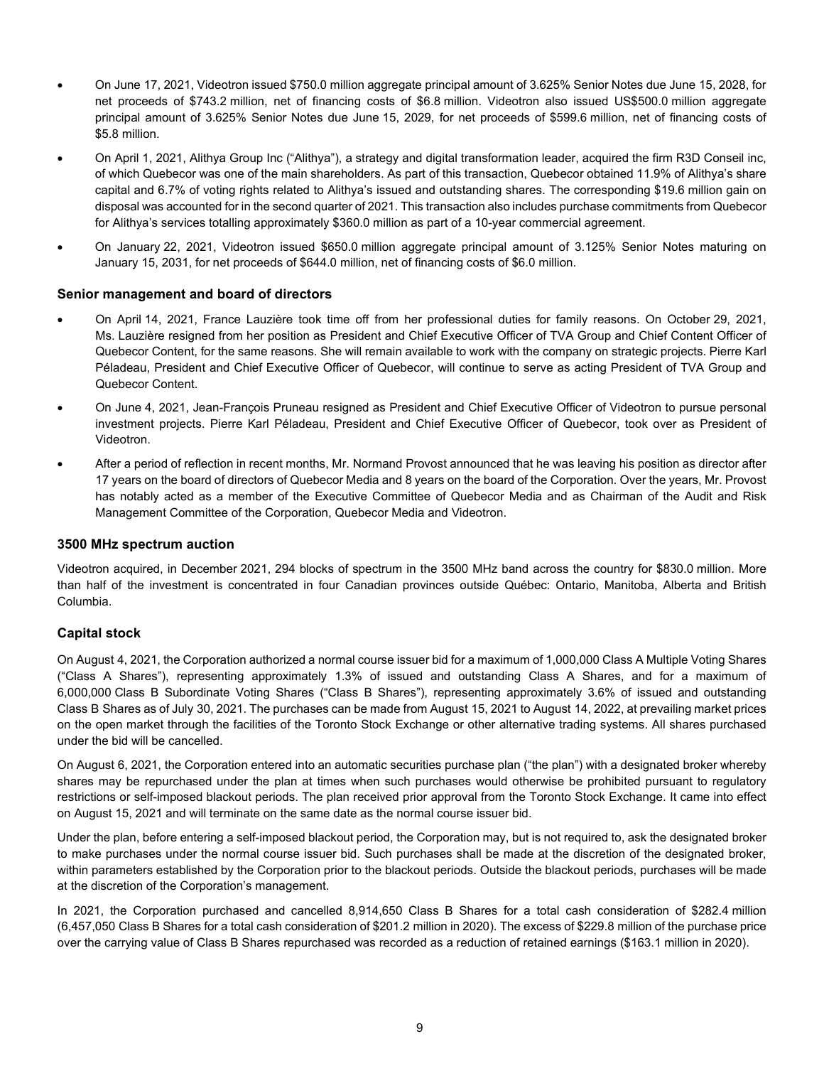- On June 17, 2021, Videotron issued \$750.0 million aggregate principal amount of 3.625% Senior Notes due June 15, 2028, for net proceeds of \$743.2 million, net of financing costs of \$6.8 million. Videotron also issued US\$500.0 million aggregate principal amount of 3.625% Senior Notes due June 15, 2029, for net proceeds of \$599.6 million, net of financing costs of \$5.8 million.
- On April 1, 2021, Alithya Group Inc ("Alithya"), a strategy and digital transformation leader, acquired the firm R3D Conseil inc, of which Quebecor was one of the main shareholders. As part of this transaction, Quebecor obtained 11.9% of Alithya's share capital and 6.7% of voting rights related to Alithya's issued and outstanding shares. The corresponding \$19.6 million gain on disposal was accounted for in the second quarter of 2021. This transaction also includes purchase commitments from Quebecor for Alithya's services totalling approximately \$360.0 million as part of a 10-year commercial agreement.
- On January 22, 2021, Videotron issued \$650.0 million aggregate principal amount of 3.125% Senior Notes maturing on January 15, 2031, for net proceeds of \$644.0 million, net of financing costs of \$6.0 million.

#### **Senior management and board of directors**

- On April 14, 2021, France Lauzière took time off from her professional duties for family reasons. On October 29, 2021, Ms. Lauzière resigned from her position as President and Chief Executive Officer of TVA Group and Chief Content Officer of Quebecor Content, for the same reasons. She will remain available to work with the company on strategic projects. Pierre Karl Péladeau, President and Chief Executive Officer of Quebecor, will continue to serve as acting President of TVA Group and Quebecor Content.
- On June 4, 2021, Jean-François Pruneau resigned as President and Chief Executive Officer of Videotron to pursue personal investment projects. Pierre Karl Péladeau, President and Chief Executive Officer of Quebecor, took over as President of Videotron.
- After a period of reflection in recent months, Mr. Normand Provost announced that he was leaving his position as director after 17 years on the board of directors of Quebecor Media and 8 years on the board of the Corporation. Over the years, Mr. Provost has notably acted as a member of the Executive Committee of Quebecor Media and as Chairman of the Audit and Risk Management Committee of the Corporation, Quebecor Media and Videotron.

#### **3500 MHz spectrum auction**

Videotron acquired, in December 2021, 294 blocks of spectrum in the 3500 MHz band across the country for \$830.0 million. More than half of the investment is concentrated in four Canadian provinces outside Québec: Ontario, Manitoba, Alberta and British Columbia.

#### **Capital stock**

On August 4, 2021, the Corporation authorized a normal course issuer bid for a maximum of 1,000,000 Class A Multiple Voting Shares ("Class A Shares"), representing approximately 1.3% of issued and outstanding Class A Shares, and for a maximum of 6,000,000 Class B Subordinate Voting Shares ("Class B Shares"), representing approximately 3.6% of issued and outstanding Class B Shares as of July 30, 2021. The purchases can be made from August 15, 2021 to August 14, 2022, at prevailing market prices on the open market through the facilities of the Toronto Stock Exchange or other alternative trading systems. All shares purchased under the bid will be cancelled.

On August 6, 2021, the Corporation entered into an automatic securities purchase plan ("the plan") with a designated broker whereby shares may be repurchased under the plan at times when such purchases would otherwise be prohibited pursuant to regulatory restrictions or self-imposed blackout periods. The plan received prior approval from the Toronto Stock Exchange. It came into effect on August 15, 2021 and will terminate on the same date as the normal course issuer bid.

Under the plan, before entering a self-imposed blackout period, the Corporation may, but is not required to, ask the designated broker to make purchases under the normal course issuer bid. Such purchases shall be made at the discretion of the designated broker, within parameters established by the Corporation prior to the blackout periods. Outside the blackout periods, purchases will be made at the discretion of the Corporation's management.

In 2021, the Corporation purchased and cancelled 8,914,650 Class B Shares for a total cash consideration of \$282.4 million (6,457,050 Class B Shares for a total cash consideration of \$201.2 million in 2020). The excess of \$229.8 million of the purchase price over the carrying value of Class B Shares repurchased was recorded as a reduction of retained earnings (\$163.1 million in 2020).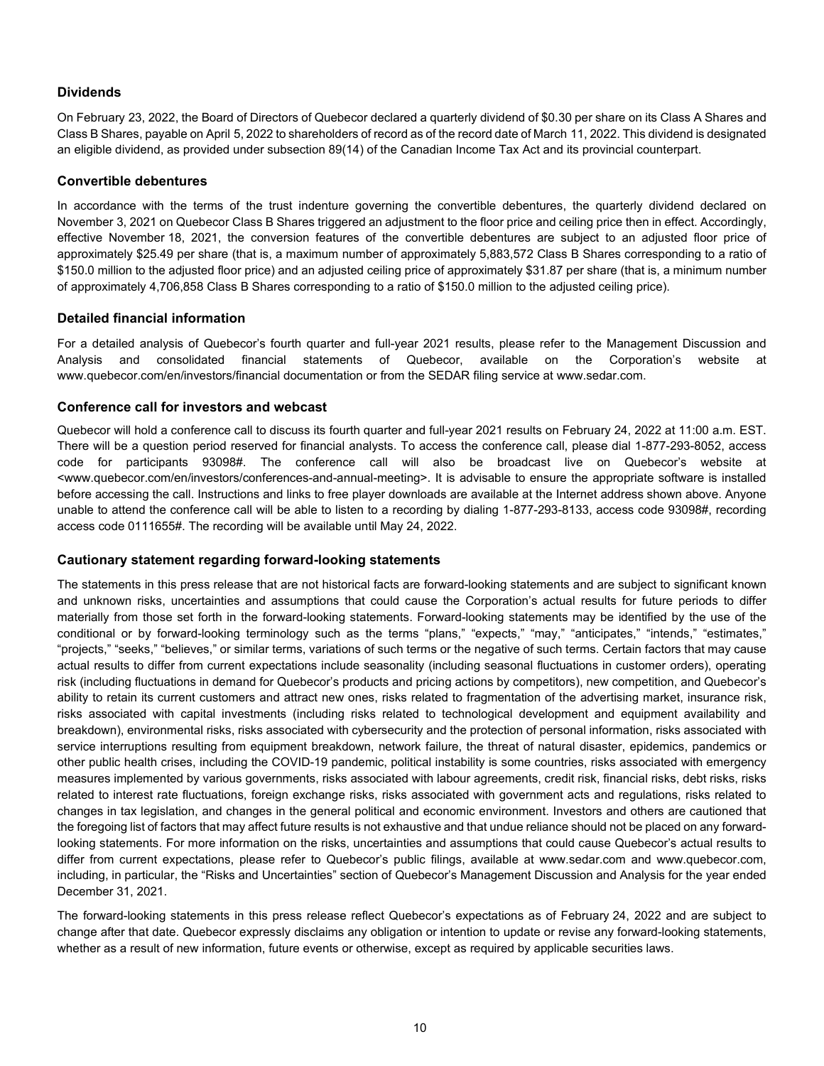### **Dividends**

On February 23, 2022, the Board of Directors of Quebecor declared a quarterly dividend of \$0.30 per share on its Class A Shares and Class B Shares, payable on April 5, 2022 to shareholders of record as of the record date of March 11, 2022. This dividend is designated an eligible dividend, as provided under subsection 89(14) of the Canadian Income Tax Act and its provincial counterpart.

#### **Convertible debentures**

In accordance with the terms of the trust indenture governing the convertible debentures, the quarterly dividend declared on November 3, 2021 on Quebecor Class B Shares triggered an adjustment to the floor price and ceiling price then in effect. Accordingly, effective November 18, 2021, the conversion features of the convertible debentures are subject to an adjusted floor price of approximately \$25.49 per share (that is, a maximum number of approximately 5,883,572 Class B Shares corresponding to a ratio of \$150.0 million to the adjusted floor price) and an adjusted ceiling price of approximately \$31.87 per share (that is, a minimum number of approximately 4,706,858 Class B Shares corresponding to a ratio of \$150.0 million to the adjusted ceiling price).

#### **Detailed financial information**

For a detailed analysis of Quebecor's fourth quarter and full-year 2021 results, please refer to the Management Discussion and Analysis and consolidated financial statements of Quebecor, available on the Corporation's website at www.quebecor.com/en/investors/financial documentation or from the SEDAR filing service at www.sedar.com.

#### **Conference call for investors and webcast**

Quebecor will hold a conference call to discuss its fourth quarter and full-year 2021 results on February 24, 2022 at 11:00 a.m. EST. There will be a question period reserved for financial analysts. To access the conference call, please dial 1-877-293-8052, access code for participants 93098#. The conference call will also be broadcast live on Quebecor's website at <www.quebecor.com/en/investors/conferences-and-annual-meeting>. It is advisable to ensure the appropriate software is installed before accessing the call. Instructions and links to free player downloads are available at the Internet address shown above. Anyone unable to attend the conference call will be able to listen to a recording by dialing 1-877-293-8133, access code 93098#, recording access code 0111655#. The recording will be available until May 24, 2022.

#### **Cautionary statement regarding forward-looking statements**

The statements in this press release that are not historical facts are forward-looking statements and are subject to significant known and unknown risks, uncertainties and assumptions that could cause the Corporation's actual results for future periods to differ materially from those set forth in the forward-looking statements. Forward-looking statements may be identified by the use of the conditional or by forward-looking terminology such as the terms "plans," "expects," "may," "anticipates," "intends," "estimates," "projects," "seeks," "believes," or similar terms, variations of such terms or the negative of such terms. Certain factors that may cause actual results to differ from current expectations include seasonality (including seasonal fluctuations in customer orders), operating risk (including fluctuations in demand for Quebecor's products and pricing actions by competitors), new competition, and Quebecor's ability to retain its current customers and attract new ones, risks related to fragmentation of the advertising market, insurance risk, risks associated with capital investments (including risks related to technological development and equipment availability and breakdown), environmental risks, risks associated with cybersecurity and the protection of personal information, risks associated with service interruptions resulting from equipment breakdown, network failure, the threat of natural disaster, epidemics, pandemics or other public health crises, including the COVID-19 pandemic, political instability is some countries, risks associated with emergency measures implemented by various governments, risks associated with labour agreements, credit risk, financial risks, debt risks, risks related to interest rate fluctuations, foreign exchange risks, risks associated with government acts and regulations, risks related to changes in tax legislation, and changes in the general political and economic environment. Investors and others are cautioned that the foregoing list of factors that may affect future results is not exhaustive and that undue reliance should not be placed on any forwardlooking statements. For more information on the risks, uncertainties and assumptions that could cause Quebecor's actual results to differ from current expectations, please refer to Quebecor's public filings, available at www.sedar.com and www.quebecor.com, including, in particular, the "Risks and Uncertainties" section of Quebecor's Management Discussion and Analysis for the year ended December 31, 2021.

The forward-looking statements in this press release reflect Quebecor's expectations as of February 24, 2022 and are subject to change after that date. Quebecor expressly disclaims any obligation or intention to update or revise any forward-looking statements, whether as a result of new information, future events or otherwise, except as required by applicable securities laws.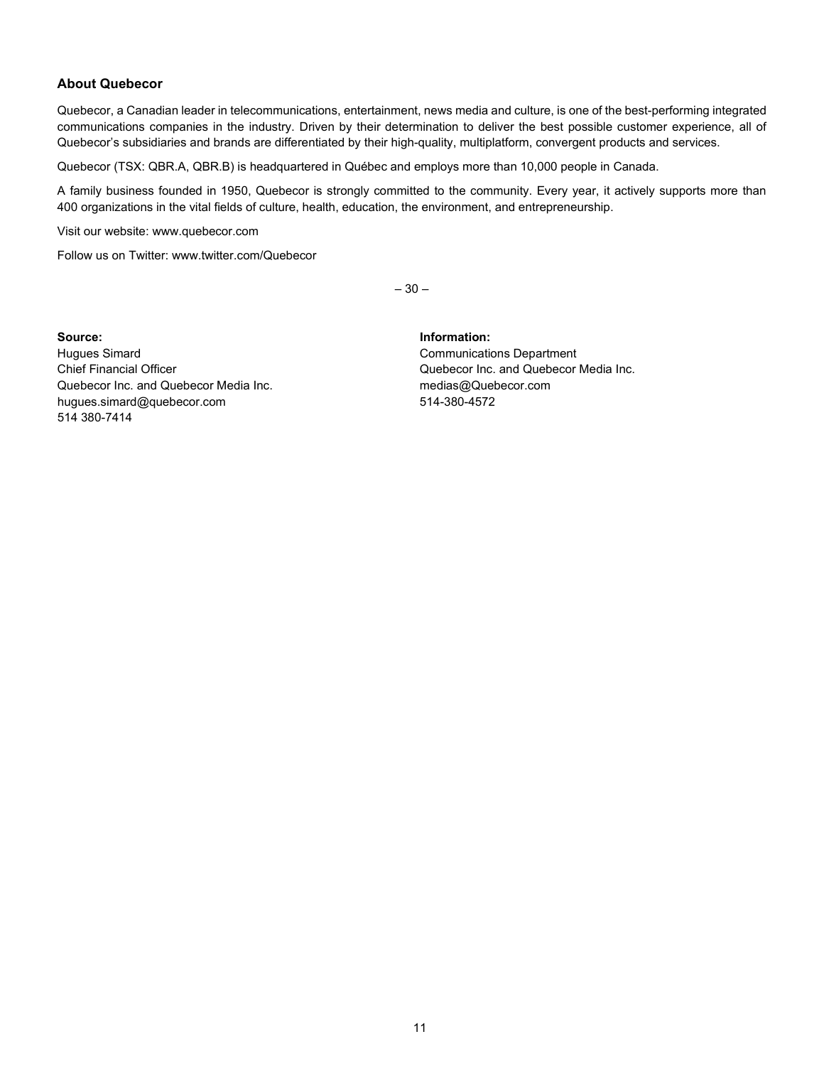### **About Quebecor**

Quebecor, a Canadian leader in telecommunications, entertainment, news media and culture, is one of the best-performing integrated communications companies in the industry. Driven by their determination to deliver the best possible customer experience, all of Quebecor's subsidiaries and brands are differentiated by their high-quality, multiplatform, convergent products and services.

Quebecor (TSX: QBR.A, QBR.B) is headquartered in Québec and employs more than 10,000 people in Canada.

A family business founded in 1950, Quebecor is strongly committed to the community. Every year, it actively supports more than 400 organizations in the vital fields of culture, health, education, the environment, and entrepreneurship.

Visit our website: www.quebecor.com

Follow us on Twitter: www.twitter.com/Quebecor

 $-30-$ 

**Source: Information:** Hugues Simard Communications Department Chief Financial Officer Quebecor Inc. and Quebecor Media Inc. Quebecor Inc. and Quebecor Media Inc. example and medias@Quebecor.com hugues.simard@quebecor.com 514-380-4572 514 380-7414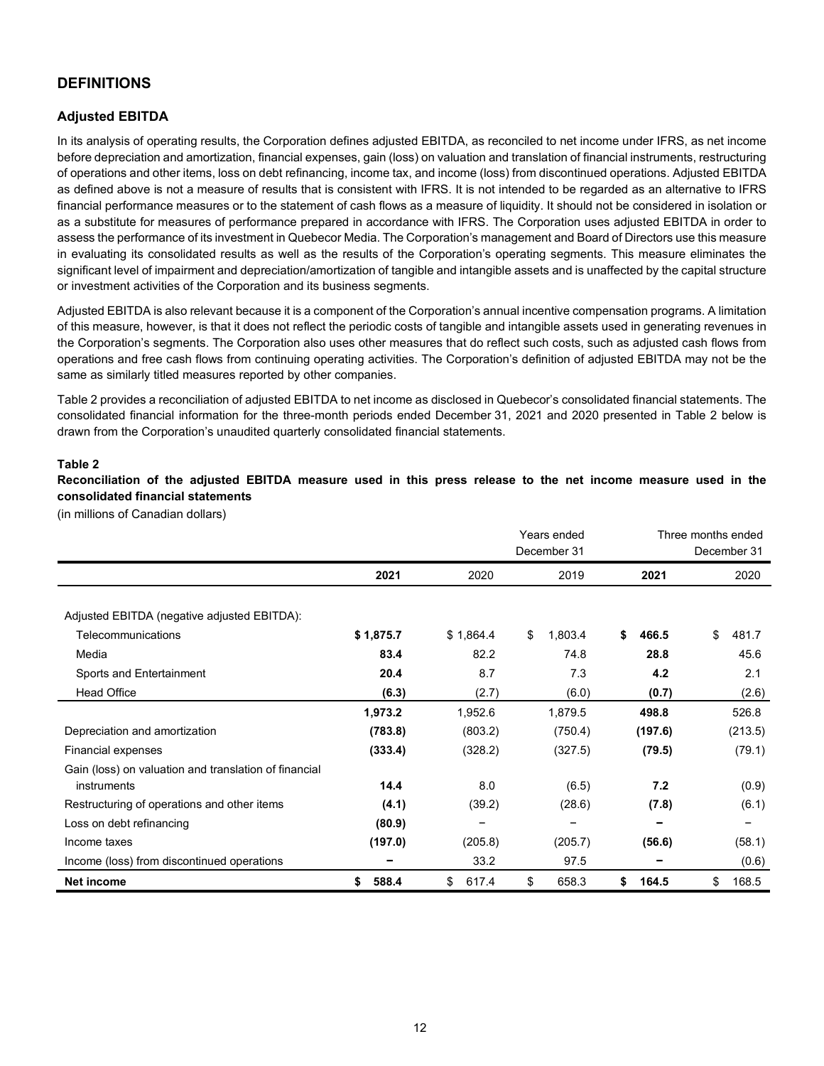# **DEFINITIONS**

## **Adjusted EBITDA**

In its analysis of operating results, the Corporation defines adjusted EBITDA, as reconciled to net income under IFRS, as net income before depreciation and amortization, financial expenses, gain (loss) on valuation and translation of financial instruments, restructuring of operations and other items, loss on debt refinancing, income tax, and income (loss) from discontinued operations. Adjusted EBITDA as defined above is not a measure of results that is consistent with IFRS. It is not intended to be regarded as an alternative to IFRS financial performance measures or to the statement of cash flows as a measure of liquidity. It should not be considered in isolation or as a substitute for measures of performance prepared in accordance with IFRS. The Corporation uses adjusted EBITDA in order to assess the performance of its investment in Quebecor Media. The Corporation's management and Board of Directors use this measure in evaluating its consolidated results as well as the results of the Corporation's operating segments. This measure eliminates the significant level of impairment and depreciation/amortization of tangible and intangible assets and is unaffected by the capital structure or investment activities of the Corporation and its business segments.

Adjusted EBITDA is also relevant because it is a component of the Corporation's annual incentive compensation programs. A limitation of this measure, however, is that it does not reflect the periodic costs of tangible and intangible assets used in generating revenues in the Corporation's segments. The Corporation also uses other measures that do reflect such costs, such as adjusted cash flows from operations and free cash flows from continuing operating activities. The Corporation's definition of adjusted EBITDA may not be the same as similarly titled measures reported by other companies.

Table 2 provides a reconciliation of adjusted EBITDA to net income as disclosed in Quebecor's consolidated financial statements. The consolidated financial information for the three-month periods ended December 31, 2021 and 2020 presented in Table 2 below is drawn from the Corporation's unaudited quarterly consolidated financial statements.

#### **Table 2**

**Reconciliation of the adjusted EBITDA measure used in this press release to the net income measure used in the consolidated financial statements** 

(in millions of Canadian dollars)

|                                                       |             |             | Years ended   |             | Three months ended<br>December 31 |  |  |  |
|-------------------------------------------------------|-------------|-------------|---------------|-------------|-----------------------------------|--|--|--|
|                                                       |             |             | December 31   |             |                                   |  |  |  |
|                                                       | 2021        | 2020        | 2019          | 2021        | 2020                              |  |  |  |
|                                                       |             |             |               |             |                                   |  |  |  |
| Adjusted EBITDA (negative adjusted EBITDA):           |             |             |               |             |                                   |  |  |  |
| Telecommunications                                    | \$1,875.7   | \$1,864.4   | \$<br>1,803.4 | \$<br>466.5 | \$<br>481.7                       |  |  |  |
| Media                                                 | 83.4        | 82.2        | 74.8          | 28.8        | 45.6                              |  |  |  |
| Sports and Entertainment                              | 20.4        | 8.7         | 7.3           | 4.2         | 2.1                               |  |  |  |
| <b>Head Office</b>                                    | (6.3)       | (2.7)       | (6.0)         | (0.7)       | (2.6)                             |  |  |  |
|                                                       | 1,973.2     | 1,952.6     | 1,879.5       | 498.8       | 526.8                             |  |  |  |
| Depreciation and amortization                         | (783.8)     | (803.2)     | (750.4)       | (197.6)     | (213.5)                           |  |  |  |
| <b>Financial expenses</b>                             | (333.4)     | (328.2)     | (327.5)       | (79.5)      | (79.1)                            |  |  |  |
| Gain (loss) on valuation and translation of financial |             |             |               |             |                                   |  |  |  |
| instruments                                           | 14.4        | 8.0         | (6.5)         | 7.2         | (0.9)                             |  |  |  |
| Restructuring of operations and other items           | (4.1)       | (39.2)      | (28.6)        | (7.8)       | (6.1)                             |  |  |  |
| Loss on debt refinancing                              | (80.9)      |             |               |             |                                   |  |  |  |
| Income taxes                                          | (197.0)     | (205.8)     | (205.7)       | (56.6)      | (58.1)                            |  |  |  |
| Income (loss) from discontinued operations            |             | 33.2        | 97.5          |             | (0.6)                             |  |  |  |
| Net income                                            | \$<br>588.4 | \$<br>617.4 | \$<br>658.3   | \$<br>164.5 | \$<br>168.5                       |  |  |  |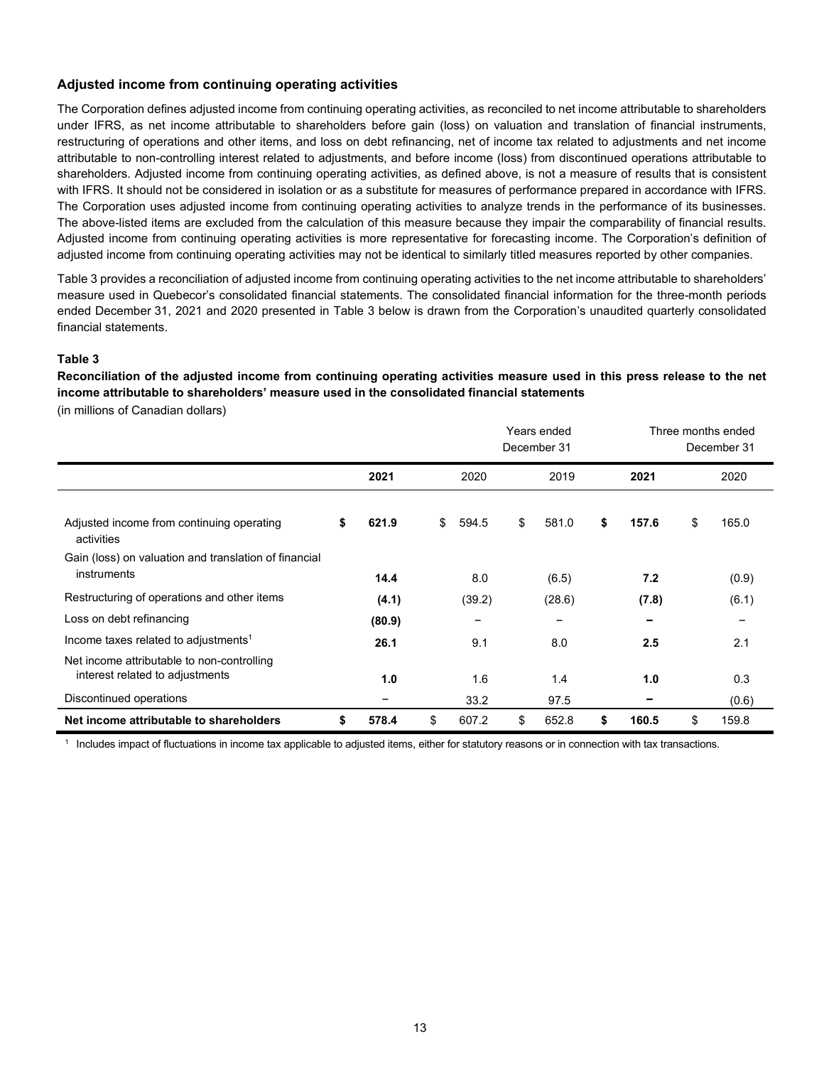#### **Adjusted income from continuing operating activities**

The Corporation defines adjusted income from continuing operating activities, as reconciled to net income attributable to shareholders under IFRS, as net income attributable to shareholders before gain (loss) on valuation and translation of financial instruments, restructuring of operations and other items, and loss on debt refinancing, net of income tax related to adjustments and net income attributable to non-controlling interest related to adjustments, and before income (loss) from discontinued operations attributable to shareholders. Adjusted income from continuing operating activities, as defined above, is not a measure of results that is consistent with IFRS. It should not be considered in isolation or as a substitute for measures of performance prepared in accordance with IFRS. The Corporation uses adjusted income from continuing operating activities to analyze trends in the performance of its businesses. The above-listed items are excluded from the calculation of this measure because they impair the comparability of financial results. Adjusted income from continuing operating activities is more representative for forecasting income. The Corporation's definition of adjusted income from continuing operating activities may not be identical to similarly titled measures reported by other companies.

Table 3 provides a reconciliation of adjusted income from continuing operating activities to the net income attributable to shareholders' measure used in Quebecor's consolidated financial statements. The consolidated financial information for the three-month periods ended December 31, 2021 and 2020 presented in Table 3 below is drawn from the Corporation's unaudited quarterly consolidated financial statements.

#### **Table 3**

**Reconciliation of the adjusted income from continuing operating activities measure used in this press release to the net income attributable to shareholders' measure used in the consolidated financial statements** 

(in millions of Canadian dollars)

|                                                                               |             |             | Years ended<br>December 31 |             | Three months ended<br>December 31 |  |  |
|-------------------------------------------------------------------------------|-------------|-------------|----------------------------|-------------|-----------------------------------|--|--|
|                                                                               | 2021        | 2020        | 2019                       | 2021        | 2020                              |  |  |
| Adjusted income from continuing operating<br>activities                       | \$<br>621.9 | \$<br>594.5 | \$<br>581.0                | \$<br>157.6 | \$<br>165.0                       |  |  |
| Gain (loss) on valuation and translation of financial<br>instruments          | 14.4        | 8.0         | (6.5)                      | 7.2         | (0.9)                             |  |  |
| Restructuring of operations and other items                                   | (4.1)       | (39.2)      | (28.6)                     | (7.8)       | (6.1)                             |  |  |
| Loss on debt refinancing                                                      | (80.9)      |             | -                          |             |                                   |  |  |
| Income taxes related to adjustments <sup>1</sup>                              | 26.1        | 9.1         | 8.0                        | 2.5         | 2.1                               |  |  |
| Net income attributable to non-controlling<br>interest related to adjustments | 1.0         | 1.6         | 1.4                        | 1.0         | 0.3                               |  |  |
| Discontinued operations                                                       |             | 33.2        | 97.5                       |             | (0.6)                             |  |  |
| Net income attributable to shareholders                                       | \$<br>578.4 | \$<br>607.2 | \$<br>652.8                | \$<br>160.5 | \$<br>159.8                       |  |  |

<sup>1</sup> Includes impact of fluctuations in income tax applicable to adjusted items, either for statutory reasons or in connection with tax transactions.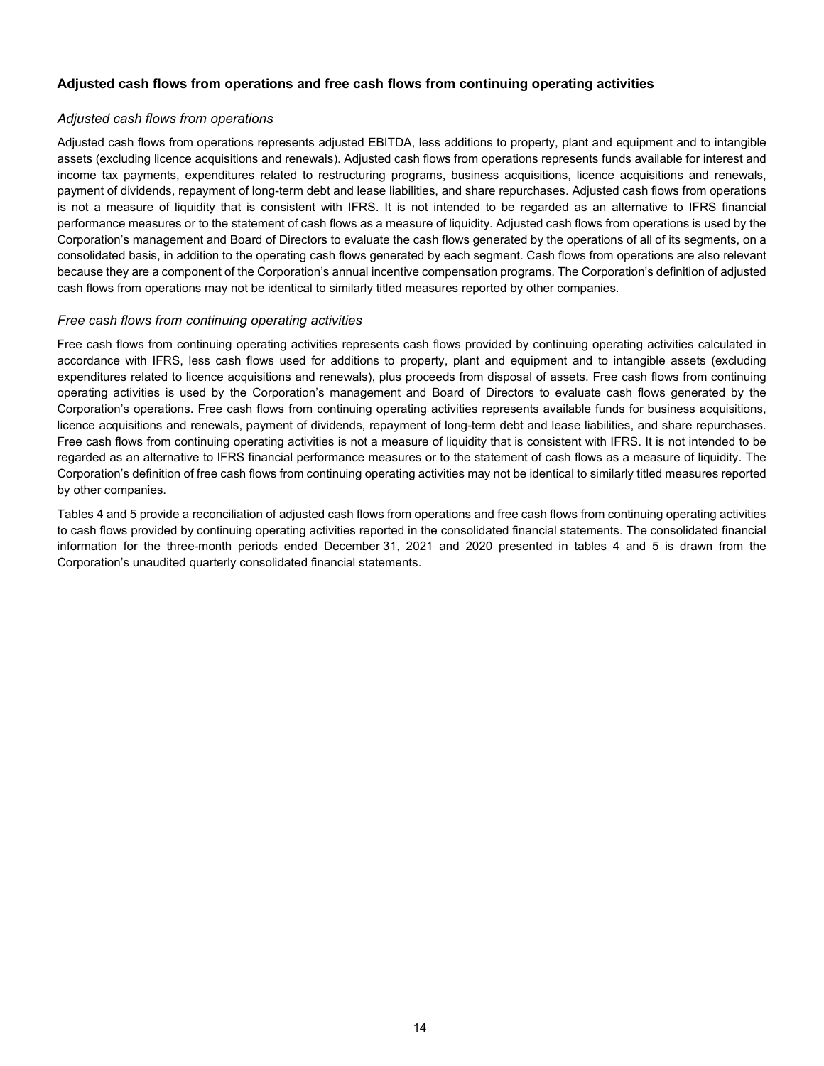#### **Adjusted cash flows from operations and free cash flows from continuing operating activities**

#### *Adjusted cash flows from operations*

Adjusted cash flows from operations represents adjusted EBITDA, less additions to property, plant and equipment and to intangible assets (excluding licence acquisitions and renewals). Adjusted cash flows from operations represents funds available for interest and income tax payments, expenditures related to restructuring programs, business acquisitions, licence acquisitions and renewals, payment of dividends, repayment of long-term debt and lease liabilities, and share repurchases. Adjusted cash flows from operations is not a measure of liquidity that is consistent with IFRS. It is not intended to be regarded as an alternative to IFRS financial performance measures or to the statement of cash flows as a measure of liquidity. Adjusted cash flows from operations is used by the Corporation's management and Board of Directors to evaluate the cash flows generated by the operations of all of its segments, on a consolidated basis, in addition to the operating cash flows generated by each segment. Cash flows from operations are also relevant because they are a component of the Corporation's annual incentive compensation programs. The Corporation's definition of adjusted cash flows from operations may not be identical to similarly titled measures reported by other companies.

#### *Free cash flows from continuing operating activities*

Free cash flows from continuing operating activities represents cash flows provided by continuing operating activities calculated in accordance with IFRS, less cash flows used for additions to property, plant and equipment and to intangible assets (excluding expenditures related to licence acquisitions and renewals), plus proceeds from disposal of assets. Free cash flows from continuing operating activities is used by the Corporation's management and Board of Directors to evaluate cash flows generated by the Corporation's operations. Free cash flows from continuing operating activities represents available funds for business acquisitions, licence acquisitions and renewals, payment of dividends, repayment of long-term debt and lease liabilities, and share repurchases. Free cash flows from continuing operating activities is not a measure of liquidity that is consistent with IFRS. It is not intended to be regarded as an alternative to IFRS financial performance measures or to the statement of cash flows as a measure of liquidity. The Corporation's definition of free cash flows from continuing operating activities may not be identical to similarly titled measures reported by other companies.

Tables 4 and 5 provide a reconciliation of adjusted cash flows from operations and free cash flows from continuing operating activities to cash flows provided by continuing operating activities reported in the consolidated financial statements. The consolidated financial information for the three-month periods ended December 31, 2021 and 2020 presented in tables 4 and 5 is drawn from the Corporation's unaudited quarterly consolidated financial statements.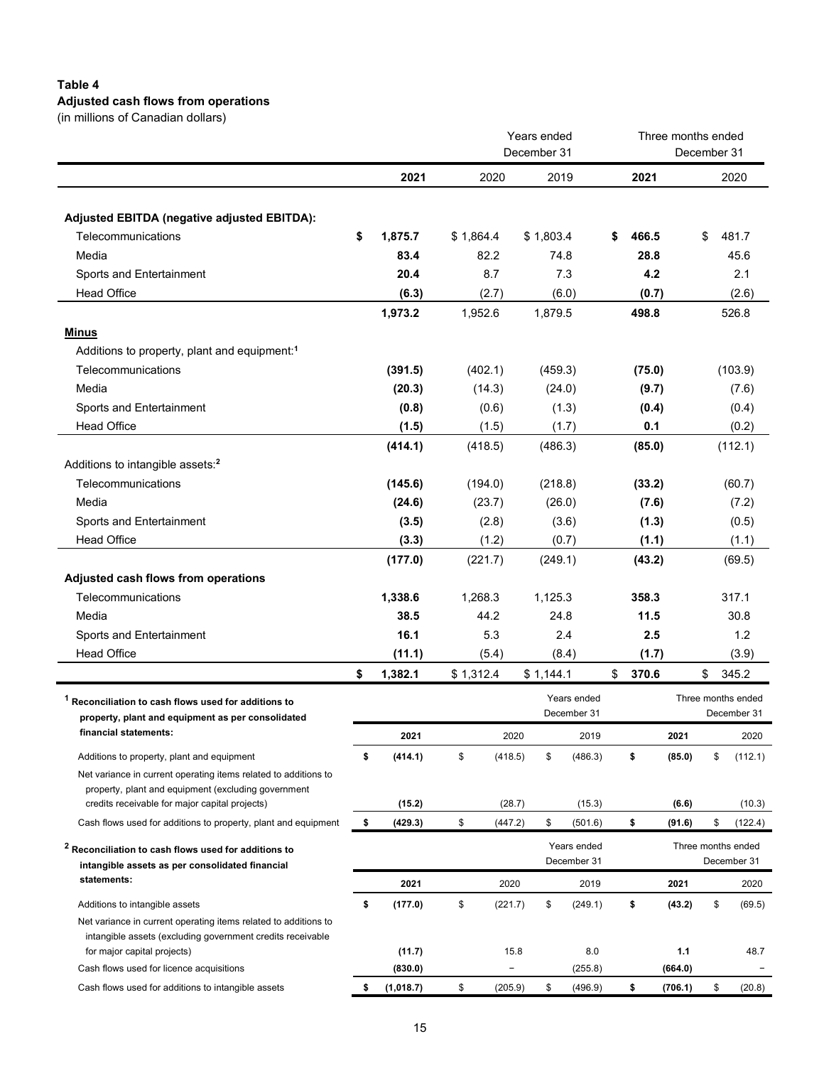# **Table 4 Adjusted cash flows from operations**

|  | (in millions of Canadian dollars) |  |
|--|-----------------------------------|--|

|                                                                                                                      | Years ended<br>December 31 |           |           |                   |           |             |    | Three months ended | December 31 |                    |
|----------------------------------------------------------------------------------------------------------------------|----------------------------|-----------|-----------|-------------------|-----------|-------------|----|--------------------|-------------|--------------------|
|                                                                                                                      |                            | 2021      |           | 2020              | 2019      |             |    | 2021               |             | 2020               |
|                                                                                                                      |                            |           |           |                   |           |             |    |                    |             |                    |
| <b>Adjusted EBITDA (negative adjusted EBITDA):</b>                                                                   |                            |           |           |                   |           |             |    |                    |             |                    |
| Telecommunications                                                                                                   | \$                         | 1,875.7   | \$1,864.4 |                   | \$1,803.4 |             | S  | 466.5              | \$          | 481.7              |
| Media                                                                                                                |                            | 83.4      |           | 82.2              | 74.8      |             |    | 28.8               |             | 45.6               |
| Sports and Entertainment                                                                                             |                            | 20.4      |           | 8.7               | 7.3       |             |    | 4.2                |             | 2.1                |
| <b>Head Office</b>                                                                                                   |                            | (6.3)     |           | (2.7)             | (6.0)     |             |    | (0.7)              |             | (2.6)              |
|                                                                                                                      |                            | 1,973.2   | 1,952.6   |                   | 1,879.5   |             |    | 498.8              |             | 526.8              |
| <b>Minus</b>                                                                                                         |                            |           |           |                   |           |             |    |                    |             |                    |
| Additions to property, plant and equipment: <sup>1</sup>                                                             |                            |           |           |                   |           |             |    |                    |             |                    |
| Telecommunications                                                                                                   |                            | (391.5)   | (402.1)   |                   | (459.3)   |             |    | (75.0)             |             | (103.9)            |
| Media                                                                                                                |                            | (20.3)    |           | (14.3)            | (24.0)    |             |    | (9.7)              |             | (7.6)              |
| Sports and Entertainment                                                                                             |                            | (0.8)     |           | (0.6)             | (1.3)     |             |    | (0.4)              |             | (0.4)              |
| <b>Head Office</b>                                                                                                   |                            | (1.5)     |           | (1.5)             | (1.7)     |             |    | 0.1                |             | (0.2)              |
|                                                                                                                      |                            | (414.1)   | (418.5)   |                   | (486.3)   |             |    | (85.0)             |             | (112.1)            |
| Additions to intangible assets: <sup>2</sup>                                                                         |                            |           |           |                   |           |             |    |                    |             |                    |
| Telecommunications                                                                                                   |                            | (145.6)   | (194.0)   |                   | (218.8)   |             |    | (33.2)             |             | (60.7)             |
| Media                                                                                                                |                            | (24.6)    |           | (23.7)            | (26.0)    |             |    | (7.6)              |             | (7.2)              |
| Sports and Entertainment                                                                                             |                            | (3.5)     |           | (2.8)             | (3.6)     |             |    | (1.3)              |             | (0.5)              |
| <b>Head Office</b>                                                                                                   |                            | (3.3)     |           | (1.2)             | (0.7)     |             |    | (1.1)              |             | (1.1)              |
|                                                                                                                      |                            | (177.0)   | (221.7)   |                   | (249.1)   |             |    | (43.2)             |             | (69.5)             |
| Adjusted cash flows from operations                                                                                  |                            |           |           |                   |           |             |    |                    |             |                    |
| Telecommunications                                                                                                   |                            | 1,338.6   | 1,268.3   |                   | 1,125.3   |             |    | 358.3              |             | 317.1              |
| Media                                                                                                                |                            | 38.5      |           | 44.2              | 24.8      |             |    | 11.5               |             | 30.8               |
| Sports and Entertainment                                                                                             |                            | 16.1      |           | 5.3               | 2.4       |             |    | 2.5                |             | 1.2                |
| <b>Head Office</b>                                                                                                   |                            | (11.1)    |           | (5.4)             | (8.4)     |             |    | (1.7)              |             | (3.9)              |
|                                                                                                                      | \$                         | 1,382.1   | \$1,312.4 |                   | \$1,144.1 |             | \$ | 370.6              | \$          | 345.2              |
|                                                                                                                      |                            |           |           |                   |           | Years ended |    |                    |             | Three months ended |
| <sup>1</sup> Reconciliation to cash flows used for additions to<br>property, plant and equipment as per consolidated |                            |           |           |                   |           | December 31 |    |                    |             | December 31        |
| financial statements:                                                                                                |                            | 2021      |           | 2020              |           | 2019        |    | 2021               |             | 2020               |
| Additions to property, plant and equipment                                                                           | \$                         | (414.1)   | \$        | (418.5)           | \$        | (486.3)     | \$ | (85.0)             | \$          | (112.1)            |
| Net variance in current operating items related to additions to                                                      |                            |           |           |                   |           |             |    |                    |             |                    |
| property, plant and equipment (excluding government                                                                  |                            |           |           |                   |           |             |    |                    |             |                    |
| credits receivable for major capital projects)                                                                       |                            | (15.2)    |           | (28.7)            |           | (15.3)      |    | (6.6)              |             | (10.3)             |
| Cash flows used for additions to property, plant and equipment                                                       | \$                         | (429.3)   | \$        | (447.2)           | \$        | (501.6)     | \$ | (91.6)             | \$          | (122.4)            |
| <sup>2</sup> Reconciliation to cash flows used for additions to                                                      |                            |           |           |                   |           | Years ended |    |                    |             | Three months ended |
| intangible assets as per consolidated financial                                                                      |                            |           |           |                   |           | December 31 |    |                    |             | December 31        |
| statements:                                                                                                          |                            | 2021      |           | 2020              |           | 2019        |    | 2021               |             | 2020               |
| Additions to intangible assets                                                                                       | \$                         | (177.0)   | \$        | (221.7)           | \$        | (249.1)     |    | \$<br>(43.2)       | \$          | (69.5)             |
| Net variance in current operating items related to additions to                                                      |                            |           |           |                   |           |             |    |                    |             |                    |
| intangible assets (excluding government credits receivable                                                           |                            |           |           |                   |           |             |    |                    |             |                    |
| for major capital projects)                                                                                          |                            | (11.7)    |           | 15.8              |           | 8.0         |    | 1.1                |             | 48.7               |
| Cash flows used for licence acquisitions                                                                             |                            | (830.0)   |           | $\qquad \qquad -$ |           | (255.8)     |    | (664.0)            |             |                    |
| Cash flows used for additions to intangible assets                                                                   | \$                         | (1,018.7) | \$        | (205.9)           | \$        | (496.9)     | \$ | (706.1)            | \$          | (20.8)             |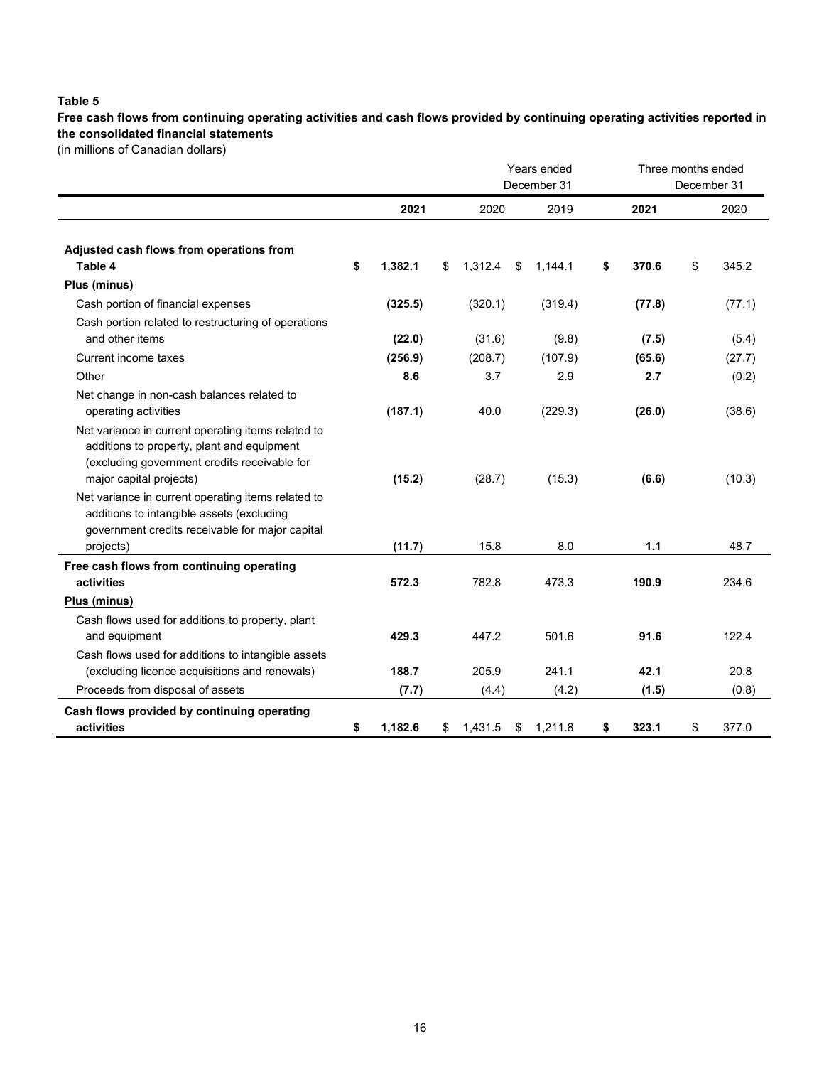## **Table 5**

**Free cash flows from continuing operating activities and cash flows provided by continuing operating activities reported in the consolidated financial statements**

(in millions of Canadian dollars)

|                                                                                                                                                                             |               |               | Years ended<br>December 31 | Three months ended | December 31 |        |
|-----------------------------------------------------------------------------------------------------------------------------------------------------------------------------|---------------|---------------|----------------------------|--------------------|-------------|--------|
|                                                                                                                                                                             | 2021          | 2020          | 2019                       | 2021               |             | 2020   |
| Adjusted cash flows from operations from<br>Table 4                                                                                                                         | \$<br>1,382.1 | \$<br>1,312.4 | \$<br>1,144.1              | \$<br>370.6        | \$          | 345.2  |
| Plus (minus)                                                                                                                                                                |               |               |                            |                    |             |        |
| Cash portion of financial expenses                                                                                                                                          | (325.5)       | (320.1)       | (319.4)                    | (77.8)             |             | (77.1) |
| Cash portion related to restructuring of operations<br>and other items                                                                                                      | (22.0)        | (31.6)        | (9.8)                      | (7.5)              |             | (5.4)  |
| Current income taxes                                                                                                                                                        | (256.9)       | (208.7)       | (107.9)                    | (65.6)             |             | (27.7) |
| Other                                                                                                                                                                       | 8.6           | 3.7           | 2.9                        | 2.7                |             | (0.2)  |
| Net change in non-cash balances related to<br>operating activities                                                                                                          | (187.1)       | 40.0          | (229.3)                    | (26.0)             |             | (38.6) |
| Net variance in current operating items related to<br>additions to property, plant and equipment<br>(excluding government credits receivable for<br>major capital projects) | (15.2)        | (28.7)        | (15.3)                     | (6.6)              |             | (10.3) |
| Net variance in current operating items related to<br>additions to intangible assets (excluding<br>government credits receivable for major capital<br>projects)             | (11.7)        | 15.8          | 8.0                        | 1.1                |             | 48.7   |
| Free cash flows from continuing operating                                                                                                                                   |               |               |                            |                    |             |        |
| activities                                                                                                                                                                  | 572.3         | 782.8         | 473.3                      | 190.9              |             | 234.6  |
| Plus (minus)                                                                                                                                                                |               |               |                            |                    |             |        |
| Cash flows used for additions to property, plant<br>and equipment                                                                                                           | 429.3         | 447.2         | 501.6                      | 91.6               |             | 122.4  |
| Cash flows used for additions to intangible assets<br>(excluding licence acquisitions and renewals)                                                                         | 188.7         | 205.9         | 241.1                      | 42.1               |             | 20.8   |
| Proceeds from disposal of assets                                                                                                                                            | (7.7)         | (4.4)         | (4.2)                      | (1.5)              |             | (0.8)  |
| Cash flows provided by continuing operating<br>activities                                                                                                                   | \$<br>1,182.6 | \$<br>1,431.5 | \$<br>1,211.8              | \$<br>323.1        | \$          | 377.0  |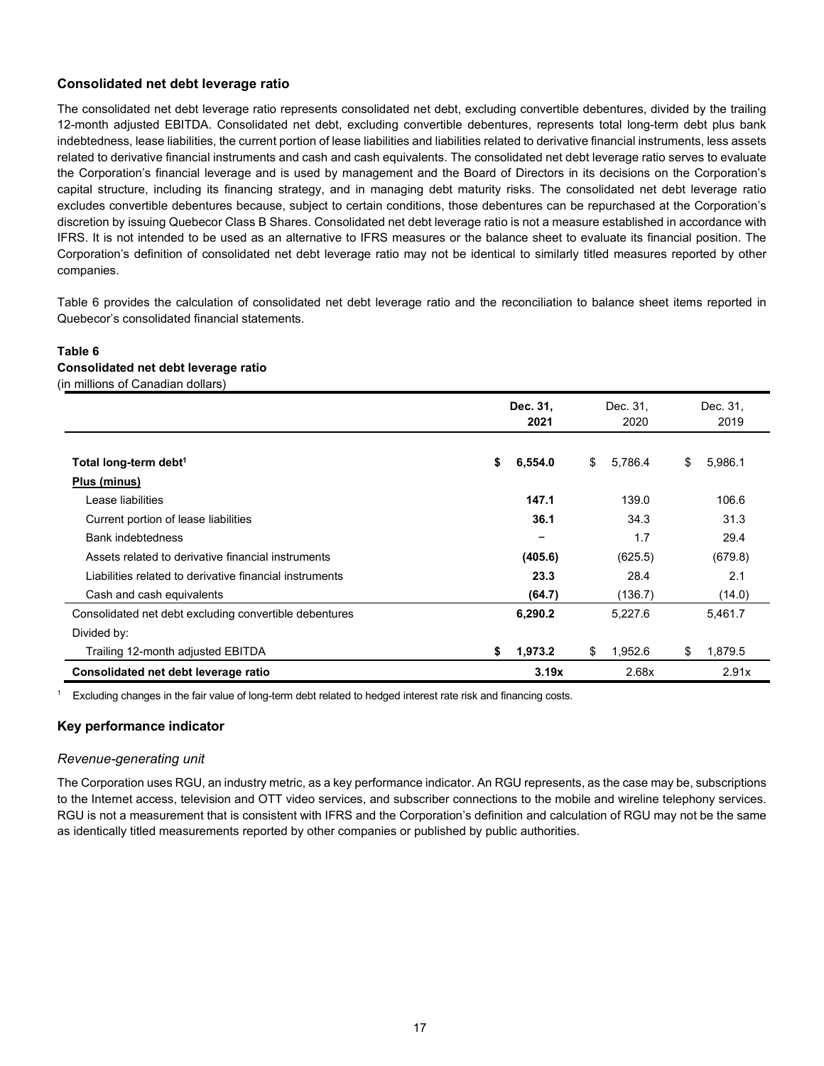#### **Consolidated net debt leverage ratio**

The consolidated net debt leverage ratio represents consolidated net debt, excluding convertible debentures, divided by the trailing 12-month adjusted EBITDA. Consolidated net debt, excluding convertible debentures, represents total long-term debt plus bank indebtedness, lease liabilities, the current portion of lease liabilities and liabilities related to derivative financial instruments, less assets related to derivative financial instruments and cash and cash equivalents. The consolidated net debt leverage ratio serves to evaluate the Corporation's financial leverage and is used by management and the Board of Directors in its decisions on the Corporation's capital structure, including its financing strategy, and in managing debt maturity risks. The consolidated net debt leverage ratio excludes convertible debentures because, subject to certain conditions, those debentures can be repurchased at the Corporation's discretion by issuing Quebecor Class B Shares. Consolidated net debt leverage ratio is not a measure established in accordance with IFRS. It is not intended to be used as an alternative to IFRS measures or the balance sheet to evaluate its financial position. The Corporation's definition of consolidated net debt leverage ratio may not be identical to similarly titled measures reported by other companies.

Table 6 provides the calculation of consolidated net debt leverage ratio and the reconciliation to balance sheet items reported in Quebecor's consolidated financial statements.

#### **Table 6 Consolidated net debt leverage ratio** (in millions of Canadian dollars)

|                                                         | Dec. 31,<br>2021 | Dec. 31,<br>2020 | Dec. 31.<br>2019 |
|---------------------------------------------------------|------------------|------------------|------------------|
| Total long-term debt <sup>1</sup>                       | 6,554.0<br>\$    | 5,786.4<br>\$    | 5,986.1<br>\$    |
| Plus (minus)                                            |                  |                  |                  |
| Lease liabilities                                       | 147.1            | 139.0            | 106.6            |
| Current portion of lease liabilities                    | 36.1             | 34.3             | 31.3             |
| <b>Bank indebtedness</b>                                | -                | 1.7              | 29.4             |
| Assets related to derivative financial instruments      | (405.6)          | (625.5)          | (679.8)          |
| Liabilities related to derivative financial instruments | 23.3             | 28.4             | 2.1              |
| Cash and cash equivalents                               | (64.7)           | (136.7)          | (14.0)           |
| Consolidated net debt excluding convertible debentures  | 6,290.2          | 5,227.6          | 5,461.7          |
| Divided by:                                             |                  |                  |                  |
| Trailing 12-month adjusted EBITDA                       | 1,973.2<br>\$    | \$<br>1,952.6    | 1,879.5<br>\$    |
| Consolidated net debt leverage ratio                    | 3.19x            | 2.68x            | 2.91x            |

<sup>1</sup> Excluding changes in the fair value of long-term debt related to hedged interest rate risk and financing costs.

#### **Key performance indicator**

#### *Revenue-generating unit*

The Corporation uses RGU, an industry metric, as a key performance indicator. An RGU represents, as the case may be, subscriptions to the Internet access, television and OTT video services, and subscriber connections to the mobile and wireline telephony services. RGU is not a measurement that is consistent with IFRS and the Corporation's definition and calculation of RGU may not be the same as identically titled measurements reported by other companies or published by public authorities.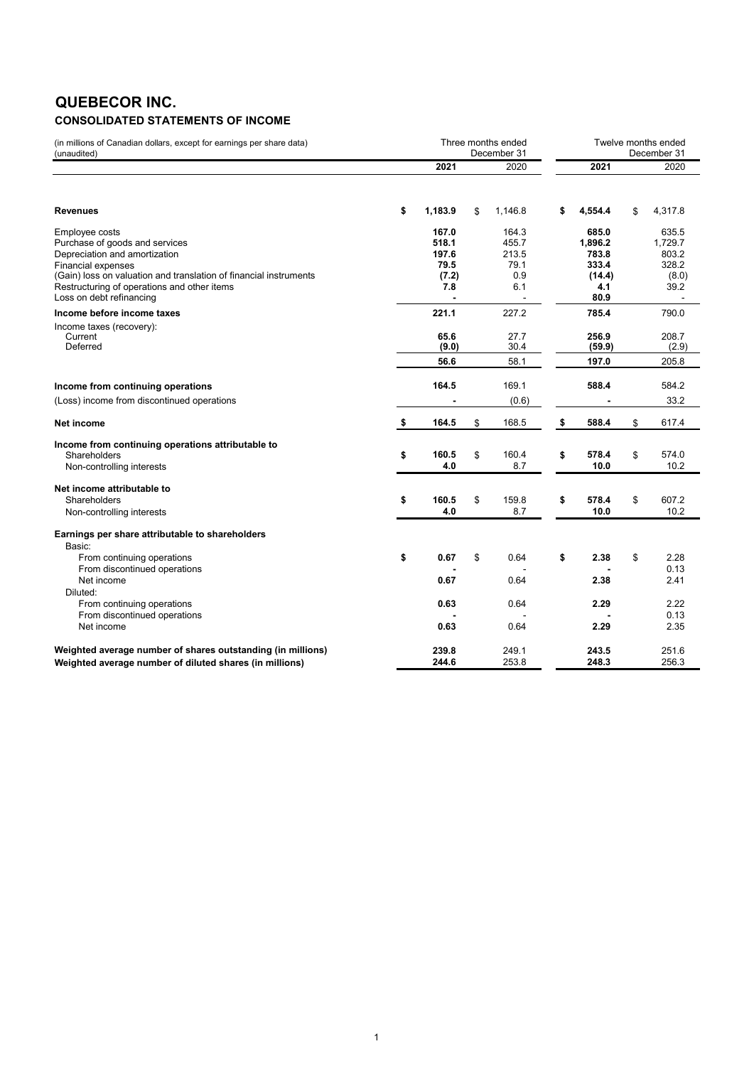# **QUEBECOR INC.**

# **CONSOLIDATED STATEMENTS OF INCOME**

| (in millions of Canadian dollars, except for earnings per share data)<br>(unaudited)                                                                                                                                                                           |                                                 | Three months ended<br>December 31             | Twelve months ended<br>December 31 |                                                             |     |                                                     |  |  |
|----------------------------------------------------------------------------------------------------------------------------------------------------------------------------------------------------------------------------------------------------------------|-------------------------------------------------|-----------------------------------------------|------------------------------------|-------------------------------------------------------------|-----|-----------------------------------------------------|--|--|
|                                                                                                                                                                                                                                                                | 2021                                            | 2020                                          |                                    | 2021                                                        |     | 2020                                                |  |  |
| <b>Revenues</b>                                                                                                                                                                                                                                                | \$<br>1,183.9                                   | \$<br>1,146.8                                 | \$                                 | 4,554.4                                                     | \$. | 4.317.8                                             |  |  |
| Employee costs<br>Purchase of goods and services<br>Depreciation and amortization<br><b>Financial expenses</b><br>(Gain) loss on valuation and translation of financial instruments<br>Restructuring of operations and other items<br>Loss on debt refinancing | 167.0<br>518.1<br>197.6<br>79.5<br>(7.2)<br>7.8 | 164.3<br>455.7<br>213.5<br>79.1<br>0.9<br>6.1 |                                    | 685.0<br>1,896.2<br>783.8<br>333.4<br>(14.4)<br>4.1<br>80.9 |     | 635.5<br>1,729.7<br>803.2<br>328.2<br>(8.0)<br>39.2 |  |  |
| Income before income taxes<br>Income taxes (recovery):<br>Current<br>Deferred                                                                                                                                                                                  | 221.1<br>65.6<br>(9.0)<br>56.6                  | 227.2<br>27.7<br>30.4<br>58.1                 |                                    | 785.4<br>256.9<br>(59.9)<br>197.0                           |     | 790.0<br>208.7<br>(2.9)<br>205.8                    |  |  |
| Income from continuing operations<br>(Loss) income from discontinued operations                                                                                                                                                                                | 164.5                                           | 169.1<br>(0.6)                                |                                    | 588.4                                                       |     | 584.2<br>33.2                                       |  |  |
| Net income                                                                                                                                                                                                                                                     | \$<br>164.5                                     | \$<br>168.5                                   | \$                                 | 588.4                                                       | \$  | 617.4                                               |  |  |
| Income from continuing operations attributable to<br>Shareholders<br>Non-controlling interests                                                                                                                                                                 | \$<br>160.5<br>4.0                              | \$<br>160.4<br>8.7                            | \$                                 | 578.4<br>10.0                                               | \$  | 574.0<br>10.2                                       |  |  |
| Net income attributable to<br>Shareholders<br>Non-controlling interests                                                                                                                                                                                        | \$<br>160.5<br>4.0                              | \$<br>159.8<br>8.7                            | \$                                 | 578.4<br>10.0                                               | \$  | 607.2<br>10.2                                       |  |  |
| Earnings per share attributable to shareholders<br>Basic:<br>From continuing operations<br>From discontinued operations                                                                                                                                        | \$<br>0.67                                      | \$<br>0.64                                    | \$                                 | 2.38                                                        | \$  | 2.28<br>0.13                                        |  |  |
| Net income<br>Diluted:<br>From continuing operations<br>From discontinued operations                                                                                                                                                                           | 0.67<br>0.63                                    | 0.64<br>0.64                                  |                                    | 2.38<br>2.29                                                |     | 2.41<br>2.22<br>0.13                                |  |  |
| Net income                                                                                                                                                                                                                                                     | 0.63                                            | 0.64                                          |                                    | 2.29                                                        |     | 2.35                                                |  |  |
| Weighted average number of shares outstanding (in millions)<br>Weighted average number of diluted shares (in millions)                                                                                                                                         | 239.8<br>244.6                                  | 249.1<br>253.8                                |                                    | 243.5<br>248.3                                              |     | 251.6<br>256.3                                      |  |  |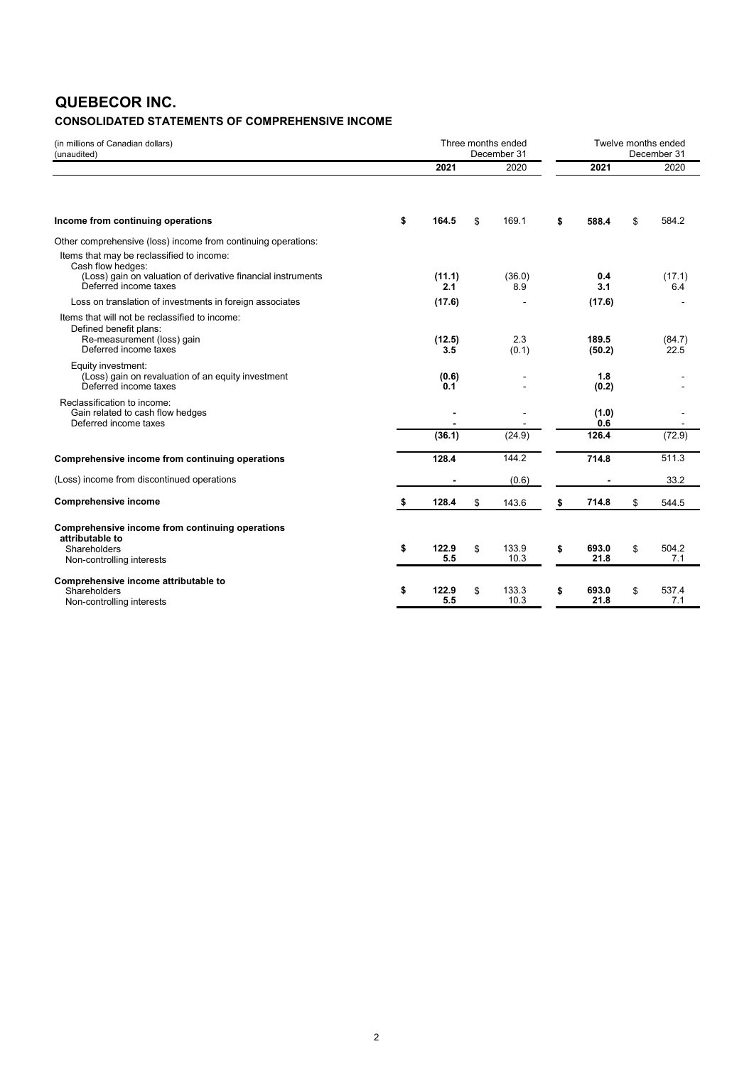# **QUEBECOR INC.**

# **CONSOLIDATED STATEMENTS OF COMPREHENSIVE INCOME**

| (in millions of Canadian dollars)<br>(unaudited)                                                                                |                    | Three months ended<br>December 31 |                     | Twelve months ended<br>December 31 |  |
|---------------------------------------------------------------------------------------------------------------------------------|--------------------|-----------------------------------|---------------------|------------------------------------|--|
|                                                                                                                                 | 2021               | 2020                              | 2021                | 2020                               |  |
| Income from continuing operations                                                                                               | \$<br>164.5        | \$<br>169.1                       | \$<br>588.4         | \$<br>584.2                        |  |
| Other comprehensive (loss) income from continuing operations:                                                                   |                    |                                   |                     |                                    |  |
| Items that may be reclassified to income:<br>Cash flow hedges:<br>(Loss) gain on valuation of derivative financial instruments  | (11.1)             | (36.0)                            | 0.4                 | (17.1)                             |  |
| Deferred income taxes                                                                                                           | 2.1                | 8.9                               | 3.1                 | 6.4                                |  |
| Loss on translation of investments in foreign associates                                                                        | (17.6)             |                                   | (17.6)              |                                    |  |
| Items that will not be reclassified to income:<br>Defined benefit plans:<br>Re-measurement (loss) gain<br>Deferred income taxes | (12.5)<br>3.5      | 2.3<br>(0.1)                      | 189.5<br>(50.2)     | (84.7)<br>22.5                     |  |
| Equity investment:<br>(Loss) gain on revaluation of an equity investment<br>Deferred income taxes                               | (0.6)<br>0.1       |                                   | 1.8<br>(0.2)        |                                    |  |
| Reclassification to income:<br>Gain related to cash flow hedges<br>Deferred income taxes                                        |                    |                                   | (1.0)<br>0.6        |                                    |  |
|                                                                                                                                 | (36.1)             | (24.9)                            | 126.4               | (72.9)                             |  |
| Comprehensive income from continuing operations                                                                                 | 128.4              | 144.2                             | 714.8               | 511.3                              |  |
| (Loss) income from discontinued operations                                                                                      |                    | (0.6)                             |                     | 33.2                               |  |
| <b>Comprehensive income</b>                                                                                                     | \$<br>128.4        | \$<br>143.6                       | \$<br>714.8         | \$<br>544.5                        |  |
| Comprehensive income from continuing operations<br>attributable to<br>Shareholders<br>Non-controlling interests                 | \$<br>122.9<br>5.5 | \$<br>133.9<br>10.3               | \$<br>693.0<br>21.8 | \$<br>504.2<br>7.1                 |  |
| Comprehensive income attributable to<br>Shareholders<br>Non-controlling interests                                               | \$<br>122.9<br>5.5 | \$<br>133.3<br>10.3               | \$<br>693.0<br>21.8 | \$<br>537.4<br>7.1                 |  |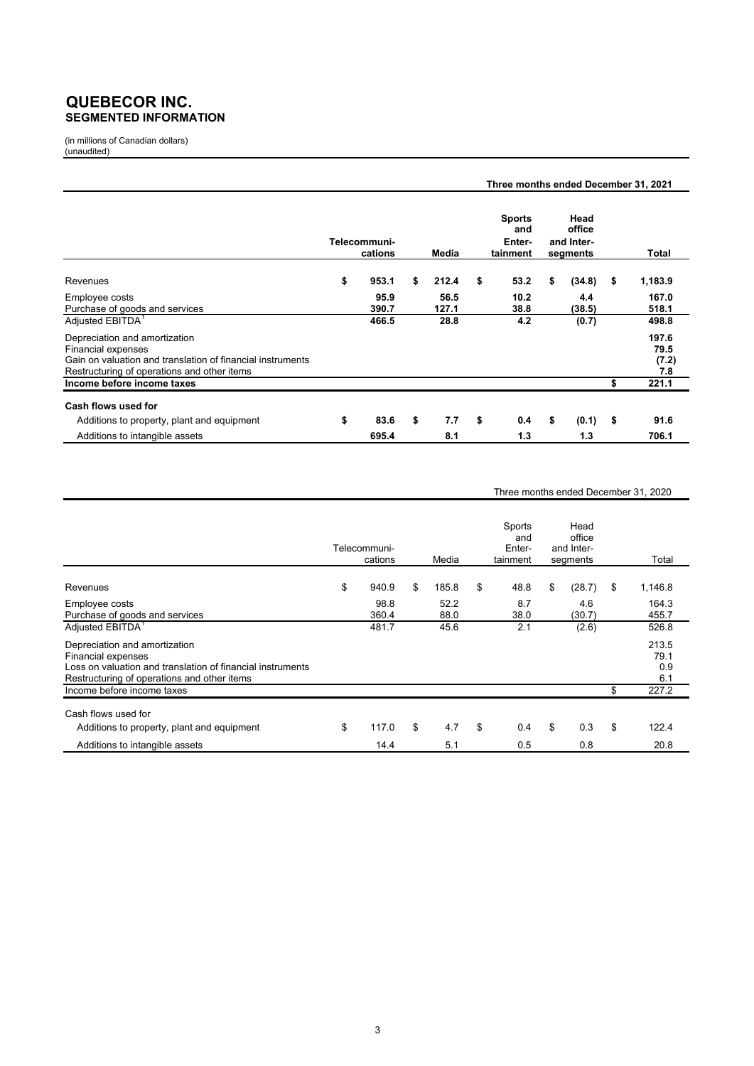# **QUEBECOR INC. SEGMENTED INFORMATION**

(in millions of Canadian dollars) (unaudited)

|                                                                                                                                                                         |                         |               | Three months ended December 31, 2021       |                                          |                               |
|-------------------------------------------------------------------------------------------------------------------------------------------------------------------------|-------------------------|---------------|--------------------------------------------|------------------------------------------|-------------------------------|
|                                                                                                                                                                         | Telecommuni-<br>cations | Media         | <b>Sports</b><br>and<br>Enter-<br>tainment | Head<br>office<br>and Inter-<br>segments | Total                         |
| Revenues                                                                                                                                                                | \$<br>953.1             | \$<br>212.4   | \$<br>53.2                                 | \$<br>(34.8)                             | \$<br>1,183.9                 |
| Employee costs<br>Purchase of goods and services                                                                                                                        | 95.9<br>390.7           | 56.5<br>127.1 | 10.2<br>38.8                               | 4.4<br>(38.5)                            | 167.0<br>518.1                |
| Adjusted EBITDA <sup>1</sup>                                                                                                                                            | 466.5                   | 28.8          | 4.2                                        | (0.7)                                    | 498.8                         |
| Depreciation and amortization<br><b>Financial expenses</b><br>Gain on valuation and translation of financial instruments<br>Restructuring of operations and other items |                         |               |                                            |                                          | 197.6<br>79.5<br>(7.2)<br>7.8 |
| Income before income taxes                                                                                                                                              |                         |               |                                            |                                          | \$<br>221.1                   |
| Cash flows used for<br>Additions to property, plant and equipment                                                                                                       | \$<br>83.6              | \$<br>7.7     | \$<br>0.4                                  | \$<br>(0.1)                              | \$<br>91.6                    |
| Additions to intangible assets                                                                                                                                          | 695.4                   | 8.1           | 1.3                                        | 1.3                                      | 706.1                         |

#### Three months ended December 31, 2020

|                                                                                                                                                                  | Telecommuni-<br>cations | Media        | Sports<br>and<br>Enter-<br>tainment | Head<br>office<br>and Inter-<br>segments | Total                       |
|------------------------------------------------------------------------------------------------------------------------------------------------------------------|-------------------------|--------------|-------------------------------------|------------------------------------------|-----------------------------|
| Revenues                                                                                                                                                         | \$<br>940.9             | \$<br>185.8  | \$<br>48.8                          | \$<br>(28.7)                             | \$<br>1,146.8               |
| Employee costs<br>Purchase of goods and services                                                                                                                 | 98.8<br>360.4           | 52.2<br>88.0 | 8.7<br>38.0                         | 4.6<br>(30.7)                            | 164.3<br>455.7              |
| Adjusted EBITDA <sup>1</sup>                                                                                                                                     | 481.7                   | 45.6         | 2.1                                 | (2.6)                                    | 526.8                       |
| Depreciation and amortization<br>Financial expenses<br>Loss on valuation and translation of financial instruments<br>Restructuring of operations and other items |                         |              |                                     |                                          | 213.5<br>79.1<br>0.9<br>6.1 |
| Income before income taxes                                                                                                                                       |                         |              |                                     |                                          | \$<br>227.2                 |
| Cash flows used for                                                                                                                                              |                         |              |                                     |                                          |                             |
| Additions to property, plant and equipment                                                                                                                       | \$<br>117.0             | \$<br>4.7    | \$<br>0.4                           | \$<br>0.3                                | \$<br>122.4                 |
| Additions to intangible assets                                                                                                                                   | 14.4                    | 5.1          | 0.5                                 | 0.8                                      | 20.8                        |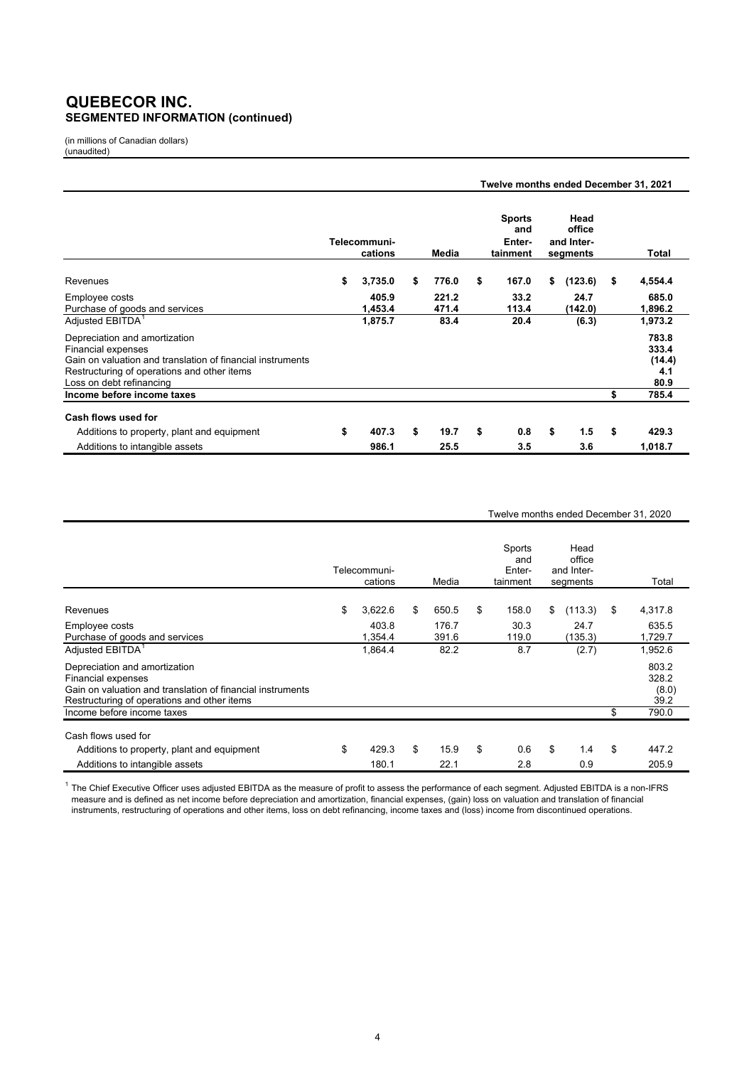# **QUEBECOR INC. SEGMENTED INFORMATION (continued)**

(in millions of Canadian dollars) (unaudited)

|                                                                                                                                                                                                                                     |    |                         |    |                | Twelve months ended December 31, 2021 |                                            |    |                                          |    |                                                    |  |  |  |
|-------------------------------------------------------------------------------------------------------------------------------------------------------------------------------------------------------------------------------------|----|-------------------------|----|----------------|---------------------------------------|--------------------------------------------|----|------------------------------------------|----|----------------------------------------------------|--|--|--|
|                                                                                                                                                                                                                                     |    | Telecommuni-<br>cations |    | Media          |                                       | <b>Sports</b><br>and<br>Enter-<br>tainment |    | Head<br>office<br>and Inter-<br>segments |    | Total                                              |  |  |  |
| <b>Revenues</b>                                                                                                                                                                                                                     | \$ | 3,735.0                 | \$ | 776.0          | \$                                    | 167.0                                      | \$ | (123.6)                                  | \$ | 4,554.4                                            |  |  |  |
| Employee costs<br>Purchase of goods and services                                                                                                                                                                                    |    | 405.9<br>1,453.4        |    | 221.2<br>471.4 |                                       | 33.2<br>113.4                              |    | 24.7<br>(142.0)                          |    | 685.0<br>1,896.2                                   |  |  |  |
| Adjusted EBITDA <sup>1</sup><br>Depreciation and amortization<br><b>Financial expenses</b><br>Gain on valuation and translation of financial instruments<br>Restructuring of operations and other items<br>Loss on debt refinancing |    | 1,875.7                 |    | 83.4           |                                       | 20.4                                       |    | (6.3)                                    |    | 1,973.2<br>783.8<br>333.4<br>(14.4)<br>4.1<br>80.9 |  |  |  |
| Income before income taxes                                                                                                                                                                                                          |    |                         |    |                |                                       |                                            |    |                                          | \$ | 785.4                                              |  |  |  |
| Cash flows used for<br>Additions to property, plant and equipment                                                                                                                                                                   | \$ | 407.3                   | \$ | 19.7           | \$                                    | 0.8                                        | \$ | 1.5                                      | \$ | 429.3                                              |  |  |  |
| Additions to intangible assets                                                                                                                                                                                                      |    | 986.1                   |    | 25.5           |                                       | 3.5                                        |    | 3.6                                      |    | 1,018.7                                            |  |  |  |

#### Twelve months ended December 31, 2020

|                                                                                                                                                                         | Telecommuni-<br>cations | Media          | Sports<br>and<br>Enter-<br>tainment | Head<br>office<br>and Inter-<br>segments | Total                           |
|-------------------------------------------------------------------------------------------------------------------------------------------------------------------------|-------------------------|----------------|-------------------------------------|------------------------------------------|---------------------------------|
| Revenues                                                                                                                                                                | \$<br>3,622.6           | \$<br>650.5    | \$<br>158.0                         | \$<br>(113.3)                            | \$<br>4,317.8                   |
| Employee costs<br>Purchase of goods and services                                                                                                                        | 403.8<br>1,354.4        | 176.7<br>391.6 | 30.3<br>119.0                       | 24.7<br>(135.3)                          | 635.5<br>1,729.7                |
| Adjusted EBITDA <sup>1</sup>                                                                                                                                            | 1,864.4                 | 82.2           | 8.7                                 | (2.7)                                    | 1,952.6                         |
| Depreciation and amortization<br><b>Financial expenses</b><br>Gain on valuation and translation of financial instruments<br>Restructuring of operations and other items |                         |                |                                     |                                          | 803.2<br>328.2<br>(8.0)<br>39.2 |
| Income before income taxes                                                                                                                                              |                         |                |                                     |                                          | \$<br>790.0                     |
| Cash flows used for                                                                                                                                                     |                         |                |                                     |                                          |                                 |
| Additions to property, plant and equipment                                                                                                                              | \$<br>429.3             | \$<br>15.9     | \$<br>0.6                           | \$<br>1.4                                | \$<br>447.2                     |
| Additions to intangible assets                                                                                                                                          | 180.1                   | 22.1           | 2.8                                 | 0.9                                      | 205.9                           |

 $^{\rm 1}$  The Chief Executive Officer uses adjusted EBITDA as the measure of profit to assess the performance of each segment. Adjusted EBITDA is a non-IFRS measure and is defined as net income before depreciation and amortization, financial expenses, (gain) loss on valuation and translation of financial instruments, restructuring of operations and other items, loss on debt refinancing, income taxes and (loss) income from discontinued operations.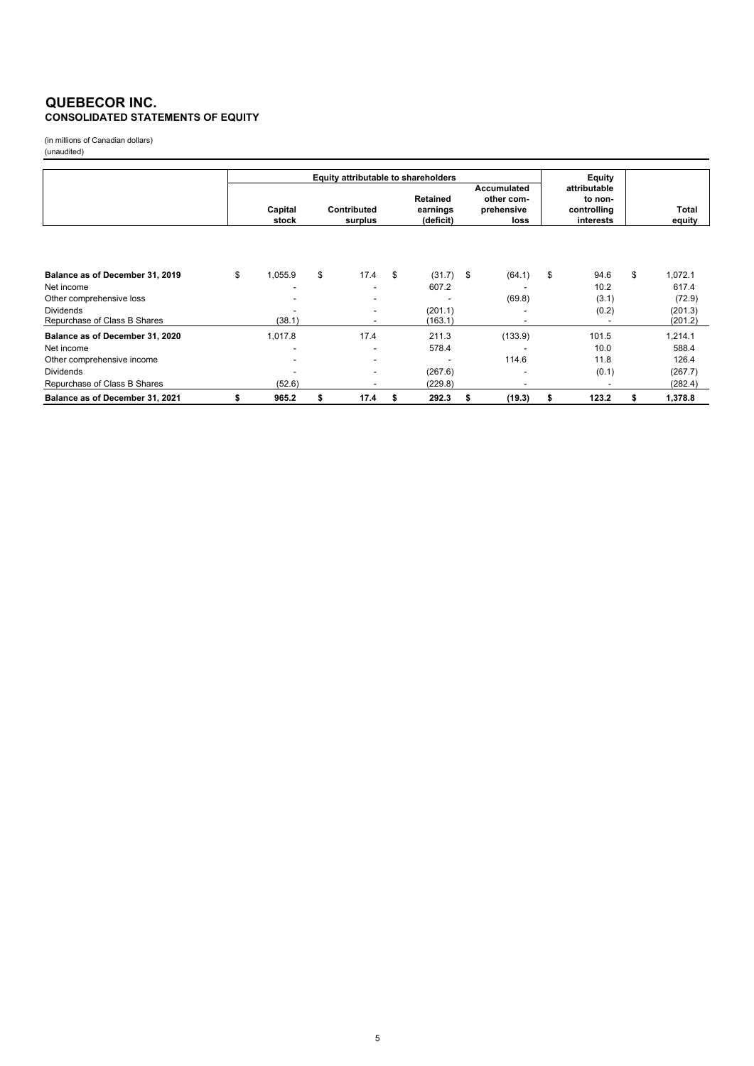#### **QUEBECOR INC. CONSOLIDATED STATEMENTS OF EQUITY**

(in millions of Canadian dollars) (unaudited)

|                                 |    | Equity attributable to shareholders |                                            |      |    |                                   |    |                                                        |    |                                                     |    |                 |
|---------------------------------|----|-------------------------------------|--------------------------------------------|------|----|-----------------------------------|----|--------------------------------------------------------|----|-----------------------------------------------------|----|-----------------|
|                                 |    |                                     | Contributed<br>Capital<br>stock<br>surplus |      |    | Retained<br>earnings<br>(deficit) |    | <b>Accumulated</b><br>other com-<br>prehensive<br>loss |    | attributable<br>to non-<br>controlling<br>interests |    | Total<br>equity |
|                                 |    |                                     |                                            |      |    |                                   |    |                                                        |    |                                                     |    |                 |
| Balance as of December 31, 2019 | \$ | 1,055.9                             | \$                                         | 17.4 | \$ | (31.7)                            | \$ | (64.1)                                                 | \$ | 94.6                                                | \$ | 1,072.1         |
| Net income                      |    |                                     |                                            |      |    | 607.2                             |    |                                                        |    | 10.2                                                |    | 617.4           |
| Other comprehensive loss        |    |                                     |                                            |      |    |                                   |    | (69.8)                                                 |    | (3.1)                                               |    | (72.9)          |
| <b>Dividends</b>                |    |                                     |                                            |      |    | (201.1)                           |    |                                                        |    | (0.2)                                               |    | (201.3)         |
| Repurchase of Class B Shares    |    | (38.1)                              |                                            |      |    | (163.1)                           |    |                                                        |    |                                                     |    | (201.2)         |
| Balance as of December 31, 2020 |    | 1,017.8                             |                                            | 17.4 |    | 211.3                             |    | (133.9)                                                |    | 101.5                                               |    | 1,214.1         |
| Net income                      |    |                                     |                                            |      |    | 578.4                             |    |                                                        |    | 10.0                                                |    | 588.4           |
| Other comprehensive income      |    |                                     |                                            |      |    |                                   |    | 114.6                                                  |    | 11.8                                                |    | 126.4           |
| <b>Dividends</b>                |    |                                     |                                            |      |    | (267.6)                           |    |                                                        |    | (0.1)                                               |    | (267.7)         |
| Repurchase of Class B Shares    |    | (52.6)                              |                                            |      |    | (229.8)                           |    |                                                        |    |                                                     |    | (282.4)         |
| Balance as of December 31, 2021 |    | 965.2                               | \$                                         | 17.4 | S  | 292.3                             | \$ | (19.3)                                                 | \$ | 123.2                                               | \$ | 1,378.8         |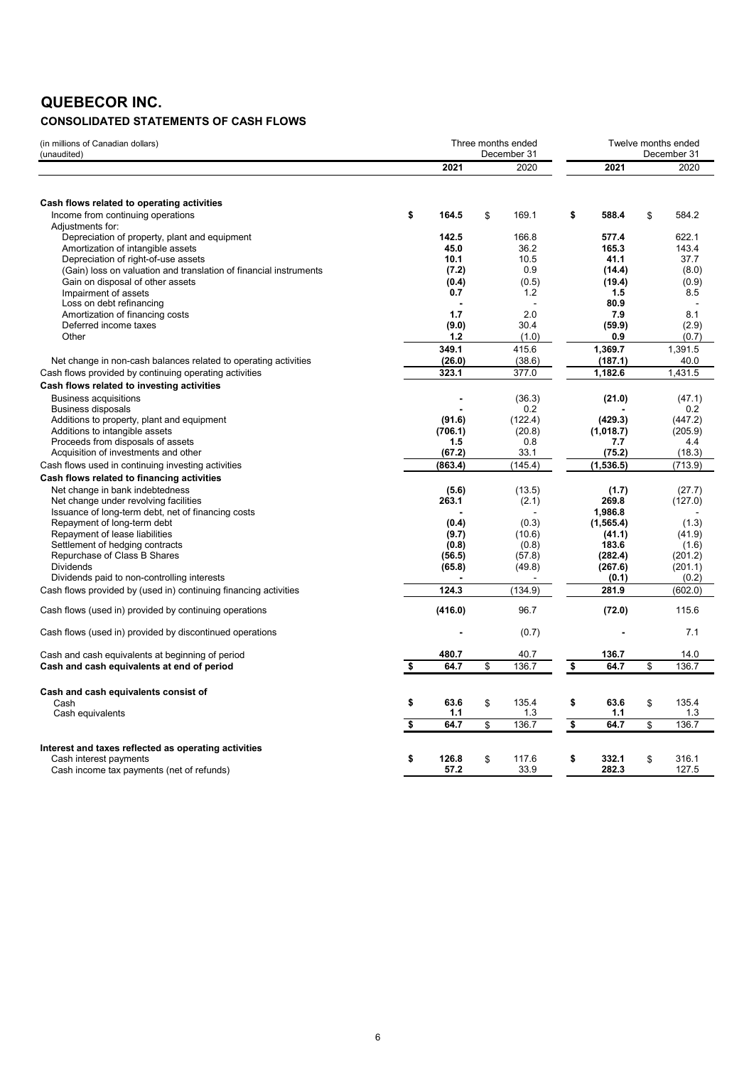# **QUEBECOR INC.**

# **CONSOLIDATED STATEMENTS OF CASH FLOWS**

| (in millions of Canadian dollars)<br>(unaudited)                  | Three months ended<br>December 31 |         |    | Twelve months ended<br>December 31 |    |            |    |         |
|-------------------------------------------------------------------|-----------------------------------|---------|----|------------------------------------|----|------------|----|---------|
|                                                                   |                                   | 2021    |    | 2020                               |    | 2021       |    | 2020    |
|                                                                   |                                   |         |    |                                    |    |            |    |         |
| Cash flows related to operating activities                        |                                   |         |    |                                    |    |            |    |         |
| Income from continuing operations                                 | \$                                | 164.5   | \$ | 169.1                              | \$ | 588.4      | \$ | 584.2   |
| Adjustments for:                                                  |                                   |         |    |                                    |    |            |    |         |
| Depreciation of property, plant and equipment                     |                                   | 142.5   |    | 166.8                              |    | 577.4      |    | 622.1   |
| Amortization of intangible assets                                 |                                   | 45.0    |    | 36.2                               |    | 165.3      |    | 143.4   |
| Depreciation of right-of-use assets                               |                                   | 10.1    |    | 10.5                               |    | 41.1       |    | 37.7    |
| (Gain) loss on valuation and translation of financial instruments |                                   | (7.2)   |    | 0.9                                |    | (14.4)     |    | (8.0)   |
| Gain on disposal of other assets                                  |                                   | (0.4)   |    | (0.5)                              |    | (19.4)     |    | (0.9)   |
| Impairment of assets                                              |                                   | 0.7     |    | 1.2                                |    | 1.5        |    | 8.5     |
| Loss on debt refinancing                                          |                                   |         |    |                                    |    | 80.9       |    |         |
| Amortization of financing costs                                   |                                   | 1.7     |    | 2.0                                |    | 7.9        |    | 8.1     |
| Deferred income taxes                                             |                                   | (9.0)   |    | 30.4                               |    | (59.9)     |    | (2.9)   |
| Other                                                             |                                   | 1.2     |    | (1.0)                              |    | 0.9        |    | (0.7)   |
|                                                                   |                                   | 349.1   |    | 415.6                              |    | 1,369.7    |    | 1,391.5 |
| Net change in non-cash balances related to operating activities   |                                   | (26.0)  |    | (38.6)                             |    | (187.1)    |    | 40.0    |
| Cash flows provided by continuing operating activities            |                                   | 323.1   |    | 377.0                              |    | 1,182.6    |    | 1,431.5 |
| Cash flows related to investing activities                        |                                   |         |    |                                    |    |            |    |         |
| <b>Business acquisitions</b>                                      |                                   |         |    | (36.3)                             |    | (21.0)     |    | (47.1)  |
| <b>Business disposals</b>                                         |                                   |         |    | 0.2                                |    |            |    | 0.2     |
| Additions to property, plant and equipment                        |                                   | (91.6)  |    | (122.4)                            |    | (429.3)    |    | (447.2) |
| Additions to intangible assets                                    |                                   | (706.1) |    | (20.8)                             |    | (1,018.7)  |    | (205.9) |
| Proceeds from disposals of assets                                 |                                   | 1.5     |    | 0.8                                |    | 7.7        |    | 4.4     |
| Acquisition of investments and other                              |                                   | (67.2)  |    | 33.1                               |    | (75.2)     |    | (18.3)  |
|                                                                   |                                   | (863.4) |    | (145.4)                            |    | (1,536.5)  |    | (713.9) |
| Cash flows used in continuing investing activities                |                                   |         |    |                                    |    |            |    |         |
| Cash flows related to financing activities                        |                                   |         |    |                                    |    |            |    |         |
| Net change in bank indebtedness                                   |                                   | (5.6)   |    | (13.5)                             |    | (1.7)      |    | (27.7)  |
| Net change under revolving facilities                             |                                   | 263.1   |    | (2.1)                              |    | 269.8      |    | (127.0) |
| Issuance of long-term debt, net of financing costs                |                                   |         |    |                                    |    | 1,986.8    |    |         |
| Repayment of long-term debt                                       |                                   | (0.4)   |    | (0.3)                              |    | (1, 565.4) |    | (1.3)   |
| Repayment of lease liabilities                                    |                                   | (9.7)   |    | (10.6)                             |    | (41.1)     |    | (41.9)  |
| Settlement of hedging contracts                                   |                                   | (0.8)   |    | (0.8)                              |    | 183.6      |    | (1.6)   |
| Repurchase of Class B Shares                                      |                                   | (56.5)  |    | (57.8)                             |    | (282.4)    |    | (201.2) |
| <b>Dividends</b>                                                  |                                   | (65.8)  |    | (49.8)                             |    | (267.6)    |    | (201.1) |
| Dividends paid to non-controlling interests                       |                                   |         |    |                                    |    | (0.1)      |    | (0.2)   |
| Cash flows provided by (used in) continuing financing activities  |                                   | 124.3   |    | (134.9)                            |    | 281.9      |    | (602.0) |
| Cash flows (used in) provided by continuing operations            |                                   | (416.0) |    | 96.7                               |    | (72.0)     |    | 115.6   |
| Cash flows (used in) provided by discontinued operations          |                                   |         |    | (0.7)                              |    |            |    | 7.1     |
| Cash and cash equivalents at beginning of period                  |                                   | 480.7   |    | 40.7                               |    | 136.7      |    | 14.0    |
| Cash and cash equivalents at end of period                        | \$                                | 64.7    | \$ | 136.7                              | \$ | 64.7       | \$ | 136.7   |
|                                                                   |                                   |         |    |                                    |    |            |    |         |
| Cash and cash equivalents consist of                              |                                   |         |    |                                    |    |            |    |         |
| Cash                                                              | \$                                | 63.6    | \$ | 135.4                              | \$ | 63.6       | \$ | 135.4   |
| Cash equivalents                                                  |                                   | 1.1     |    | 1.3                                |    | 1.1        |    | 1.3     |
|                                                                   | \$                                | 64.7    | \$ | 136.7                              | \$ | 64.7       | \$ | 136.7   |
|                                                                   |                                   |         |    |                                    |    |            |    |         |
| Interest and taxes reflected as operating activities              |                                   |         |    |                                    |    |            |    |         |
| Cash interest payments                                            | \$                                | 126.8   | \$ | 117.6                              | \$ | 332.1      | \$ | 316.1   |
| Cash income tax payments (net of refunds)                         |                                   | 57.2    |    | 33.9                               |    | 282.3      |    | 127.5   |